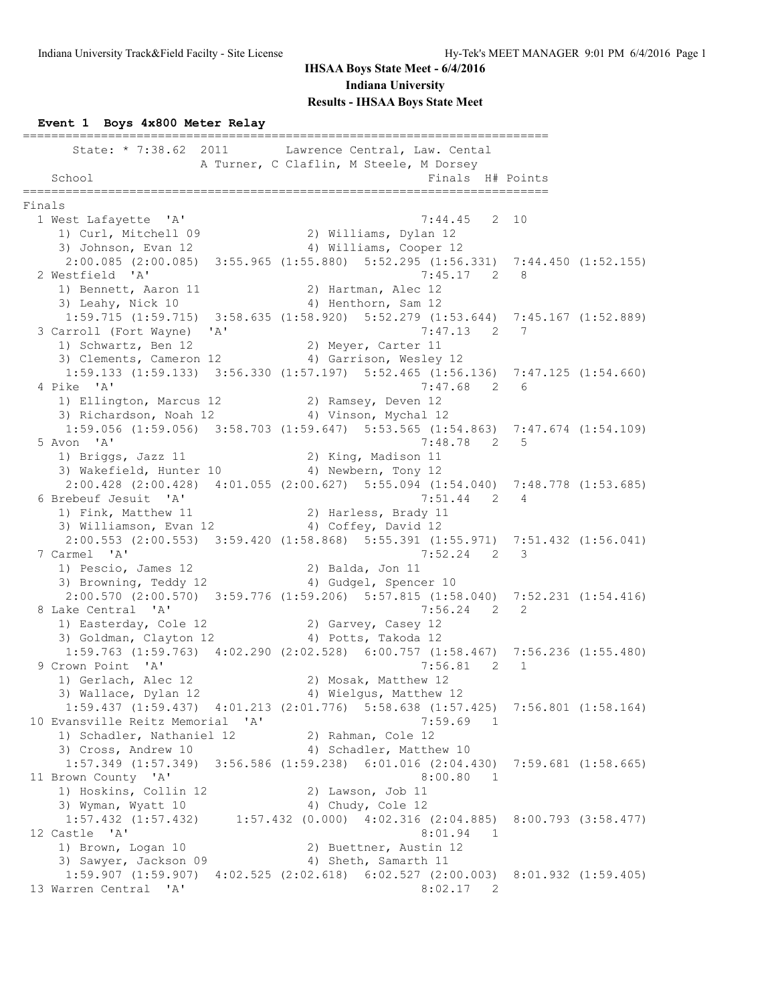#### **Event 1 Boys 4x800 Meter Relay**

========================================================================== State: \* 7:38.62 2011 Lawrence Central, Law. Cental A Turner, C Claflin, M Steele, M Dorsey School **Finals H**# Points ========================================================================== Finals 1 West Lafayette 'A' 7:44.45 2 10 1) Curl, Mitchell 09 2) Williams, Dylan 12 3) Johnson, Evan 12 4) Williams, Cooper 12 2:00.085 (2:00.085) 3:55.965 (1:55.880) 5:52.295 (1:56.331) 7:44.450 (1:52.155) 2 Westfield 'A' 7:45.17 2 8 1) Bennett, Aaron 11 2) Hartman, Alec 12 3) Leahy, Nick 10 4) Henthorn, Sam 12 1:59.715 (1:59.715) 3:58.635 (1:58.920) 5:52.279 (1:53.644) 7:45.167 (1:52.889) 3 Carroll (Fort Wayne) 'A' 7:47.13 2 7 1) Schwartz, Ben 12 12 2) Meyer, Carter 11 3) Clements, Cameron 12 4) Garrison, Wesley 12 1:59.133 (1:59.133) 3:56.330 (1:57.197) 5:52.465 (1:56.136) 7:47.125 (1:54.660) 4 Pike 'A' 7:47.68 2 6 1) Ellington, Marcus 12 (2) Ramsey, Deven 12 3) Richardson, Noah 12 (4) Vinson, Mychal 12 1:59.056 (1:59.056) 3:58.703 (1:59.647) 5:53.565 (1:54.863) 7:47.674 (1:54.109)<br>von 'A' 7:48.78 2 5 5 Avon 'A'<br>1) Briggs, Jazz 11 1) Briggs, Jazz 11 2) King, Madison 11 3) Wakefield, Hunter 10 (4) Newbern, Tony 12 2:00.428 (2:00.428) 4:01.055 (2:00.627) 5:55.094 (1:54.040) 7:48.778 (1:53.685) 6 Brebeuf Jesuit 'A' 7:51.44 2 4 1) Fink, Matthew 11 2) Harless, Brady 11 3) Williamson, Evan 12 (4) Coffey, David 12 2:00.553 (2:00.553) 3:59.420 (1:58.868) 5:55.391 (1:55.971) 7:51.432 (1:56.041)<br>7 Carmel 'A' 7:52.24 2 3 7 Carmel 'A' 7:52.24 2 3 1) Pescio, James 12 2) Balda, Jon 11 3) Browning, Teddy 12 4) Gudgel, Spencer 10 2:00.570 (2:00.570) 3:59.776 (1:59.206) 5:57.815 (1:58.040) 7:52.231 (1:54.416)<br>8 Lake Central 'A' 7:56.24 2 2 8 Lake Central 'A' 7:56.24 2 2 1) Easterday, Cole 12 2) Garvey, Casey 12 3) Goldman, Clayton 12 (4) Potts, Takoda 12 1:59.763 (1:59.763) 4:02.290 (2:02.528) 6:00.757 (1:58.467) 7:56.236 (1:55.480) 9 Crown Point 'A' 7:56.81 2 1 1) Gerlach, Alec 12 2) Mosak, Matthew 12 3) Wallace, Dylan 12 4) Wielgus, Matthew 12 1:59.437 (1:59.437) 4:01.213 (2:01.776) 5:58.638 (1:57.425) 7:56.801 (1:58.164) 10 Evansville Reitz Memorial 'A' 7:59.69 1 1) Schadler, Nathaniel 12 2) Rahman, Cole 12 3) Cross, Andrew 10 4) Schadler, Matthew 10 1:57.349 (1:57.349) 3:56.586 (1:59.238) 6:01.016 (2:04.430) 7:59.681 (1:58.665) 11 Brown County 'A' 8:00.80 1 1) Hoskins, Collin 12 2) Lawson, Job 11 3) Wyman, Wyatt 10 4) Chudy, Cole 12 1:57.432 (1:57.432) 1:57.432 (0.000) 4:02.316 (2:04.885) 8:00.793 (3:58.477) 12 Castle 'A' 8:01.94 1 1) Brown, Logan 10 2) Buettner, Austin 12 3) Sawyer, Jackson 09 4) Sheth, Samarth 11 1:59.907 (1:59.907) 4:02.525 (2:02.618) 6:02.527 (2:00.003) 8:01.932 (1:59.405) 13 Warren Central 'A' 8:02.17 2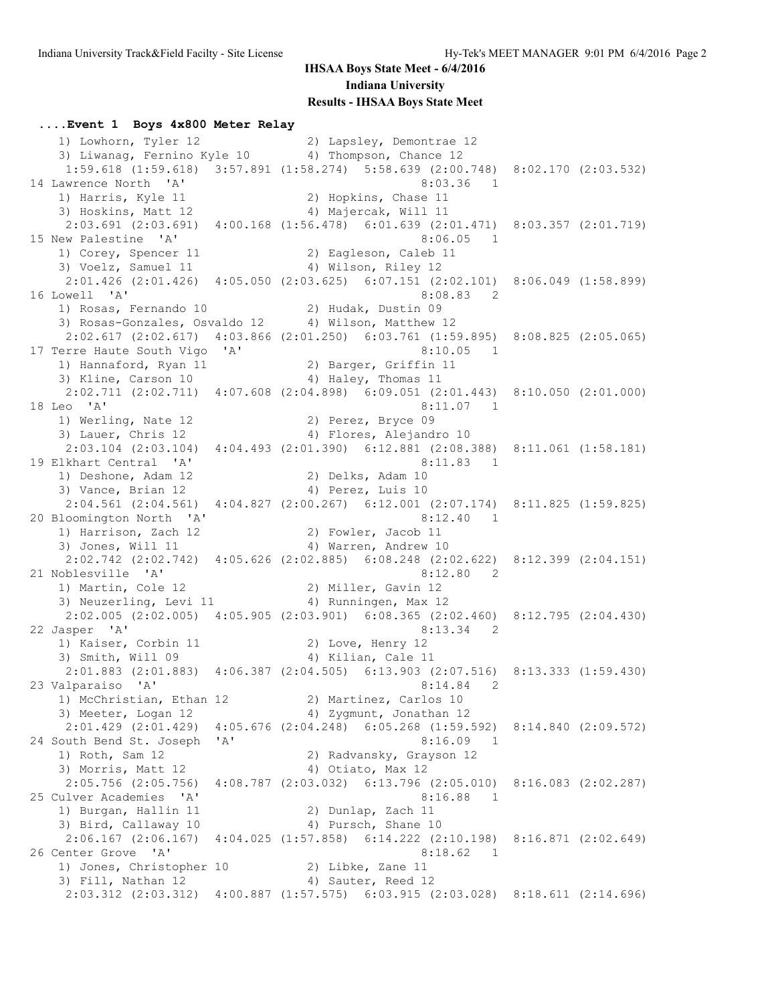#### **....Event 1 Boys 4x800 Meter Relay** 1) Lowhorn, Tyler 12 2) Lapsley, Demontrae 12 3) Liwanag, Fernino Kyle 10 4) Thompson, Chance 12 1:59.618 (1:59.618) 3:57.891 (1:58.274) 5:58.639 (2:00.748) 8:02.170 (2:03.532) 14 Lawrence North 'A' 8:03.36 1 1) Harris, Kyle 11 2) Hopkins, Chase 11 3) Hoskins, Matt 12 (4) Majercak, Will 11 2:03.691 (2:03.691) 4:00.168 (1:56.478) 6:01.639 (2:01.471) 8:03.357 (2:01.719) 15 New Palestine 'A' 8:06.05 1 1) Corey, Spencer 11 2) Eagleson, Caleb 11 3) Voelz, Samuel 11 4) Wilson, Riley 12 2:01.426 (2:01.426) 4:05.050 (2:03.625) 6:07.151 (2:02.101) 8:06.049 (1:58.899) 16 Lowell 'A' 8:08.83 2 1) Rosas, Fernando 10 2) Hudak, Dustin 09 3) Rosas-Gonzales, Osvaldo 12 4) Wilson, Matthew 12 2:02.617 (2:02.617) 4:03.866 (2:01.250) 6:03.761 (1:59.895) 8:08.825 (2:05.065) 17 Terre Haute South Vigo 'A' 6:10.05 1 1) Hannaford, Ryan 11 2) Barger, Griffin 11 3) Kline, Carson 10 4) Haley, Thomas 11 2:02.711 (2:02.711) 4:07.608 (2:04.898) 6:09.051 (2:01.443) 8:10.050 (2:01.000) 18 Leo 'A' 8:11.07 1 1) Werling, Nate 12 2) Perez, Bryce 09 3) Lauer, Chris 12 4) Flores, Alejandro 10 2:03.104 (2:03.104) 4:04.493 (2:01.390) 6:12.881 (2:08.388) 8:11.061 (1:58.181) 19 Elkhart Central 'A' 8:11.83 1 1) Deshone, Adam 12 2) Delks, Adam 10 3) Vance, Brian 12 4) Perez, Luis 10 2:04.561 (2:04.561) 4:04.827 (2:00.267) 6:12.001 (2:07.174) 8:11.825 (1:59.825) 20 Bloomington North 'A' 8:12.40 1 1) Harrison, Zach 12 (2) Fowler, Jacob 11 3) Jones, Will 11 4) Warren, Andrew 10 2:02.742 (2:02.742) 4:05.626 (2:02.885) 6:08.248 (2:02.622) 8:12.399 (2:04.151) 21 Noblesville 'A' 8:12.80 2 1) Martin, Cole 12 2) Miller, Gavin 12 3) Neuzerling, Levi 11 (4) Aunningen, Max 12 2:02.005 (2:02.005) 4:05.905 (2:03.901) 6:08.365 (2:02.460) 8:12.795 (2:04.430) 22 Jasper 'A' 8:13.34 2 1) Kaiser, Corbin 11 2) Love, Henry 12 3) Smith, Will 09 4) Kilian, Cale 11 2:01.883 (2:01.883) 4:06.387 (2:04.505) 6:13.903 (2:07.516) 8:13.333 (1:59.430) 23 Valparaiso 'A' 8:14.84 2 1) McChristian, Ethan 12 2) Martinez, Carlos 10 3) Meeter, Logan 12 4) Zygmunt, Jonathan 12 2:01.429 (2:01.429) 4:05.676 (2:04.248) 6:05.268 (1:59.592) 8:14.840 (2:09.572) 24 South Bend St. Joseph 'A' 8:16.09 1 1) Roth, Sam 12 2) Radvansky, Grayson 12 3) Morris, Matt 12 4) Otiato, Max 12 2:05.756 (2:05.756) 4:08.787 (2:03.032) 6:13.796 (2:05.010) 8:16.083 (2:02.287) 25 Culver Academies 'A' 8:16.88 1 1) Burgan, Hallin 11 2) Dunlap, Zach 11 3) Bird, Callaway 10 4) Pursch, Shane 10 2:06.167 (2:06.167) 4:04.025 (1:57.858) 6:14.222 (2:10.198) 8:16.871 (2:02.649) 26 Center Grove 'A' 8:18.62 1 1) Jones, Christopher 10 2) Libke, Zane 11 3) Fill, Nathan 12 4) Sauter, Reed 12 2:03.312 (2:03.312) 4:00.887 (1:57.575) 6:03.915 (2:03.028) 8:18.611 (2:14.696)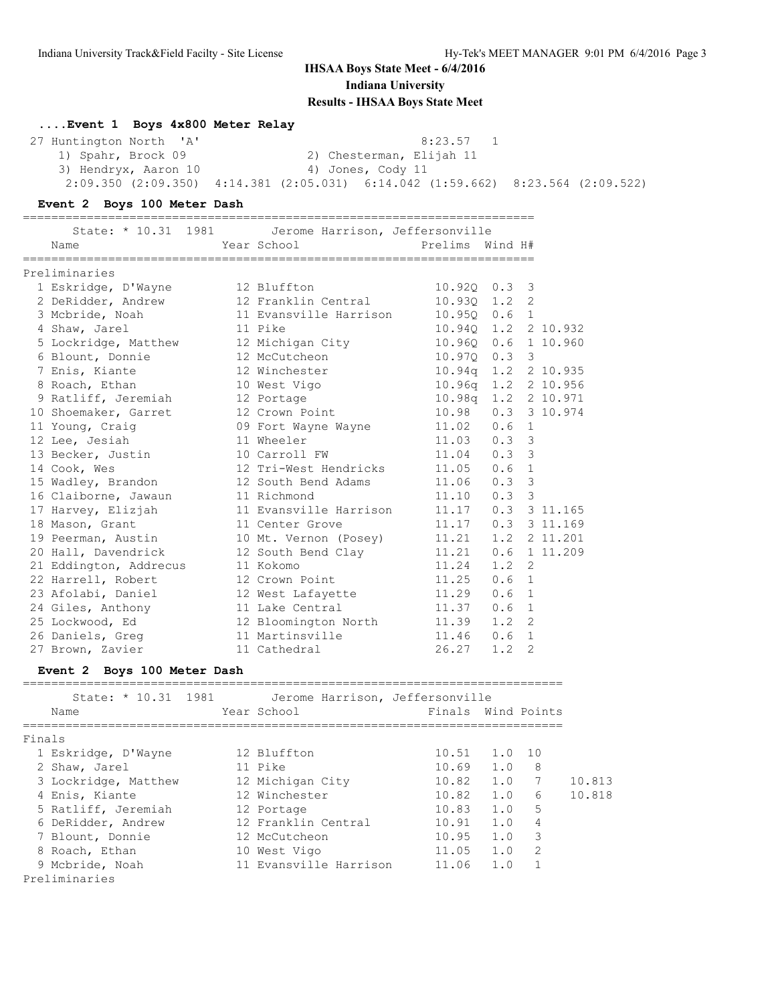**....Event 1 Boys 4x800 Meter Relay**

| 27 Huntington North 'A' | 8:23.57 1                                                                                       |  |
|-------------------------|-------------------------------------------------------------------------------------------------|--|
| 1) Spahr, Brock 09      | 2) Chesterman, Elijah 11                                                                        |  |
| 3) Hendryx, Aaron 10    | 4) Jones, Cody 11                                                                               |  |
|                         | $2:09.350$ $(2:09.350)$ $4:14.381$ $(2:05.031)$ $6:14.042$ $(1:59.662)$ $8:23.564$ $(2:09.522)$ |  |

#### **Event 2 Boys 100 Meter Dash**

========================================================================

| State: * 10.31 1981                   | Jerome Harrison, Jeffersonville   |                 |                        |                |
|---------------------------------------|-----------------------------------|-----------------|------------------------|----------------|
| Name                                  | Year School                       | Prelims Wind H# |                        |                |
| Preliminaries                         |                                   |                 |                        |                |
| 1 Eskridge, D'Wayne                   | 12 Bluffton                       |                 | $10.920$ $0.3$ 3       |                |
| 2 DeRidder, Andrew                    | 12 Franklin Central               |                 | $10.930$ $1.2$ 2       |                |
| 3 Mcbride, Noah                       | 11 Evansville Harrison            |                 | $10.950$ $0.6$ 1       |                |
| 4 Shaw, Jarel                         | 11 Pike                           |                 | 10.940 1.2 2 10.932    |                |
| 5 Lockridge, Matthew 12 Michigan City |                                   | $10.96Q$ $0.6$  |                        | 1 10.960       |
| 6 Blount, Donnie                      | 12 McCutcheon                     | $10.970$ $0.3$  | 3                      |                |
| 7 Enis, Kiante                        | 12 Winchester                     |                 | 10.94q 1.2 2 10.935    |                |
| 8 Roach, Ethan                        | 10 West Vigo                      |                 | 10.96g 1.2 2 10.956    |                |
| 9 Ratliff, Jeremiah                   | 12 Portage                        |                 | 10.98q  1.2  2  10.971 |                |
| 10 Shoemaker, Garret                  | 12 Crown Point                    |                 | 10.98  0.3  3  10.974  |                |
| 11 Young, Craig                       | 09 Fort Wayne Wayne               | 11.02 0.6       | $\mathbf{1}$           |                |
| 12 Lee, Jesiah                        | 11 Wheeler                        | $11.03$ 0.3     | 3                      |                |
| 13 Becker, Justin                     | 10 Carroll FW                     | $11.04$ 0.3 3   |                        |                |
| 14 Cook, Wes                          | 12 Tri-West Hendricks 11.05 0.6 1 |                 |                        |                |
| 15 Wadley, Brandon                    | 12 South Bend Adams 11.06         |                 | 3<br>0.3               |                |
| 16 Claiborne, Jawaun                  | 11 Richmond                       |                 | $11.10$ 0.3 3          |                |
| 17 Harvey, Elizjah                    | 11 Evansville Harrison            |                 | 11.17  0.3  3  11.165  |                |
| 18 Mason, Grant                       | 11 Center Grove                   |                 | 11.17  0.3  3  11.169  |                |
| 19 Peerman, Austin                    | 10 Mt. Vernon (Posey)             |                 | 11.21  1.2  2  11.201  |                |
| 20 Hall, Davendrick                   | 12 South Bend Clay                | 11.21           |                        | $0.6$ 1 11.209 |
| 21 Eddington, Addrecus                | 11 Kokomo                         | 11.24           | $1.2 \quad 2$          |                |
| 22 Harrell, Robert                    | 12 Crown Point                    | $11.25$ 0.6 1   |                        |                |
| 23 Afolabi, Daniel                    | 12 West Lafayette                 | 11.29           | 0.6 <sub>1</sub>       |                |
| 24 Giles, Anthony                     | 11 Lake Central                   | $11.37$ 0.6     | $\mathbf{1}$           |                |
| 25 Lockwood, Ed                       | 12 Bloomington North 11.39        |                 | $\overline{2}$<br>1.2  |                |
| 26 Daniels, Greg                      | 11 Martinsville                   | 11.46 0.6       | 1                      |                |
| 27 Brown, Zavier                      | 11 Cathedral                      | 26.27           | 1.2<br>$\overline{2}$  |                |
|                                       |                                   |                 |                        |                |

### **Event 2 Boys 100 Meter Dash**

| State: * 10.31 1981  | Jerome Harrison, Jeffersonville |                    |     |               |        |
|----------------------|---------------------------------|--------------------|-----|---------------|--------|
| Name                 | Year School                     | Finals Wind Points |     |               |        |
| Finals               |                                 |                    |     |               |        |
| 1 Eskridge, D'Wayne  | 12 Bluffton                     | $10.51$ $1.0$ $10$ |     |               |        |
| 2 Shaw, Jarel        | 11 Pike                         | 10.69              | 1.0 | 8             |        |
| 3 Lockridge, Matthew | 12 Michigan City                | 10.82              | 1.0 | 7             | 10.813 |
| 4 Enis, Kiante       | 12 Winchester                   | 10.82              | 1.0 | 6             | 10.818 |
| 5 Ratliff, Jeremiah  | 12 Portage                      | $10.83$ $1.0$      |     | 5             |        |
| 6 DeRidder, Andrew   | 12 Franklin Central             | 10.91              | 1.0 | 4             |        |
| 7 Blount, Donnie     | 12 McCutcheon                   | 10.95              | 1.0 | 3             |        |
| 8 Roach, Ethan       | 10 West Vigo                    | 11.05              | 1.0 | $\mathcal{L}$ |        |
| 9 Mcbride, Noah      | 11 Evansville Harrison          | 11.06              | 1.0 |               |        |
| Preliminaries        |                                 |                    |     |               |        |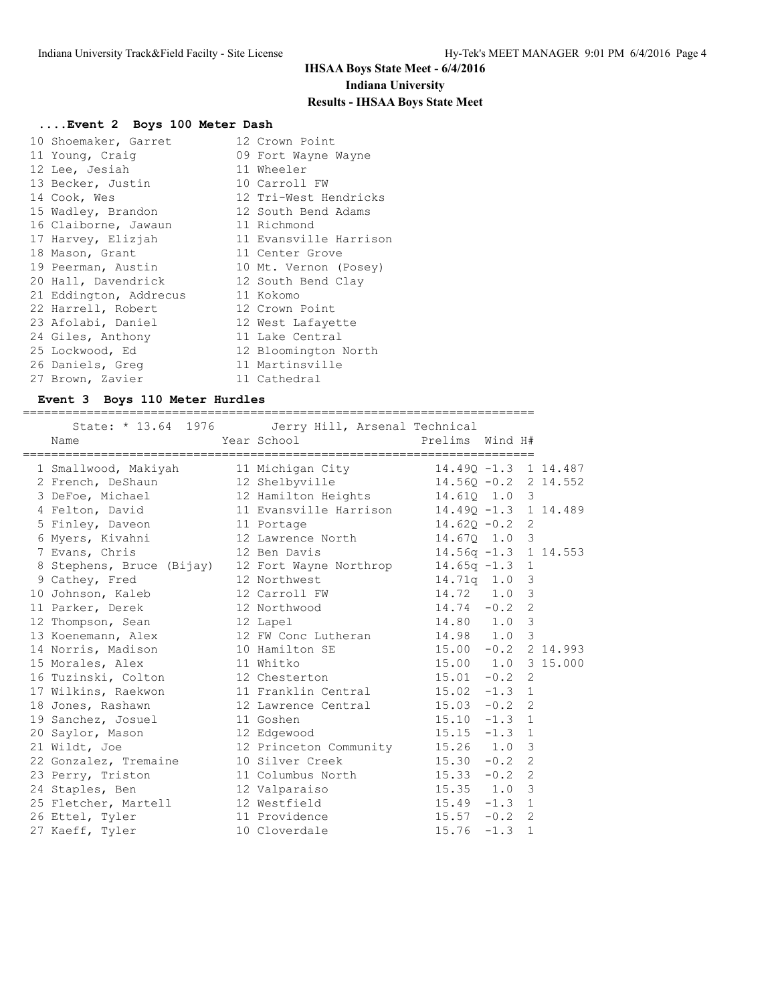## **....Event 2 Boys 100 Meter Dash**

| 10 Shoemaker, Garret   | 12 Crown Point         |
|------------------------|------------------------|
| 11 Young, Craig        | 09 Fort Wayne Wayne    |
| 12 Lee, Jesiah         | 11 Wheeler             |
| 13 Becker, Justin      | 10 Carroll FW          |
| 14 Cook, Wes           | 12 Tri-West Hendricks  |
| 15 Wadley, Brandon     | 12 South Bend Adams    |
| 16 Claiborne, Jawaun   | 11 Richmond            |
| 17 Harvey, Elizjah     | 11 Evansville Harrison |
| 18 Mason, Grant        | 11 Center Grove        |
| 19 Peerman, Austin     | 10 Mt. Vernon (Posey)  |
| 20 Hall, Davendrick    | 12 South Bend Clay     |
| 21 Eddington, Addrecus | 11 Kokomo              |
| 22 Harrell, Robert     | 12 Crown Point         |
| 23 Afolabi, Daniel     | 12 West Lafayette      |
| 24 Giles, Anthony      | 11 Lake Central        |
| 25 Lockwood, Ed        | 12 Bloomington North   |
| 26 Daniels, Greg       | 11 Martinsville        |
| 27 Brown, Zavier       | 11 Cathedral           |

### **Event 3 Boys 110 Meter Hurdles**

======================================================================== State: \* 13.64 1976 Jerry Hill, Arsenal Technical

| Name                                                           | beace. IS.01 ISTO COLLY HILL, ALBOHAL ICOMPLOAL<br>Year School <b>Prelims</b> Wind H# |                         |   |  |
|----------------------------------------------------------------|---------------------------------------------------------------------------------------|-------------------------|---|--|
| 1 Smallwood, Makiyah 11 Michigan City 14.490 -1.3 1 14.487     |                                                                                       |                         |   |  |
| 2 French, DeShaun                                              | 12 Shelbyville                                                                        | $14.56Q - 0.2$ 2 14.552 |   |  |
| 3 DeFoe, Michael                                               | 12 Hamilton Heights 14.61Q 1.0 3                                                      |                         |   |  |
| 4 Felton, David                                                | 11 Evansville Harrison 14.49Q -1.3 1 14.489                                           |                         |   |  |
| 5 Finley, Daveon                                               | 11 Portage                                                                            | $14.620 - 0.2$ 2        |   |  |
| 6 Myers, Kivahni                                               | 12 Lawrence North 14.670 1.0 3                                                        |                         |   |  |
| 7 Evans, Chris                                                 | 12 Ben Davis 14.56q -1.3 1 14.553                                                     |                         |   |  |
| 8 Stephens, Bruce (Bijay) 12 Fort Wayne Northrop 14.65q -1.3 1 |                                                                                       |                         |   |  |
| 9 Cathey, Fred                                                 | 12 Northwest                                                                          | 14.71q 1.0 3            |   |  |
| 10 Johnson, Kaleb                                              | 12 Carroll FW                                                                         | 14.72 1.0               | 3 |  |
| 11 Parker, Derek                                               | 12 Northwood                                                                          | $14.74 - 0.2$           | 2 |  |
| 12 Thompson, Sean 12 Lapel                                     |                                                                                       | 14.80 1.0 3             |   |  |
| 13 Koenemann, Alex 12 FW Conc Lutheran 14.98 1.0 3             |                                                                                       |                         |   |  |
| 14 Norris, Madison                                             | 10 Hamilton SE 15.00 -0.2 2 14.993                                                    |                         |   |  |
| 15 Morales, Alex                                               | 11 Whitko                                                                             | 15.00 1.0 3 15.000      |   |  |
| 16 Tuzinski, Colton                                            | 12 Chesterton 15.01 -0.2 2                                                            |                         |   |  |
| 17 Wilkins, Raekwon                                            | 11 Franklin Central 15.02 -1.3 1                                                      |                         |   |  |
| 18 Jones, Rashawn                                              | 12 Lawrence Central 15.03 -0.2 2                                                      |                         |   |  |
| 19 Sanchez, Josuel                                             | 11 Goshen                                                                             | $15.10 -1.3$ 1          |   |  |
| 20 Saylor, Mason                                               | 12 Edgewood                                                                           | $15.15 - 1.3$ 1         |   |  |
| 21 Wildt, Joe                                                  | 12 Princeton Community 15.26 1.0                                                      |                         | 3 |  |
| 22 Gonzalez, Tremaine                                          | 10 Silver Creek 15.30 -0.2 2                                                          |                         |   |  |
| 23 Perry, Triston                                              | 11 Columbus North 15.33 -0.2 2                                                        |                         |   |  |
| 24 Staples, Ben                                                |                                                                                       |                         |   |  |
| 25 Fletcher, Martell                                           | 12 Westfield                                                                          | $15.49 - 1.3$ 1         |   |  |
| 26 Ettel, Tyler                                                | 11 Providence 15.57 -0.2 2                                                            |                         |   |  |
| 27 Kaeff, Tyler                                                | 10 Cloverdale                                                                         | $15.76 - 1.3$           | 1 |  |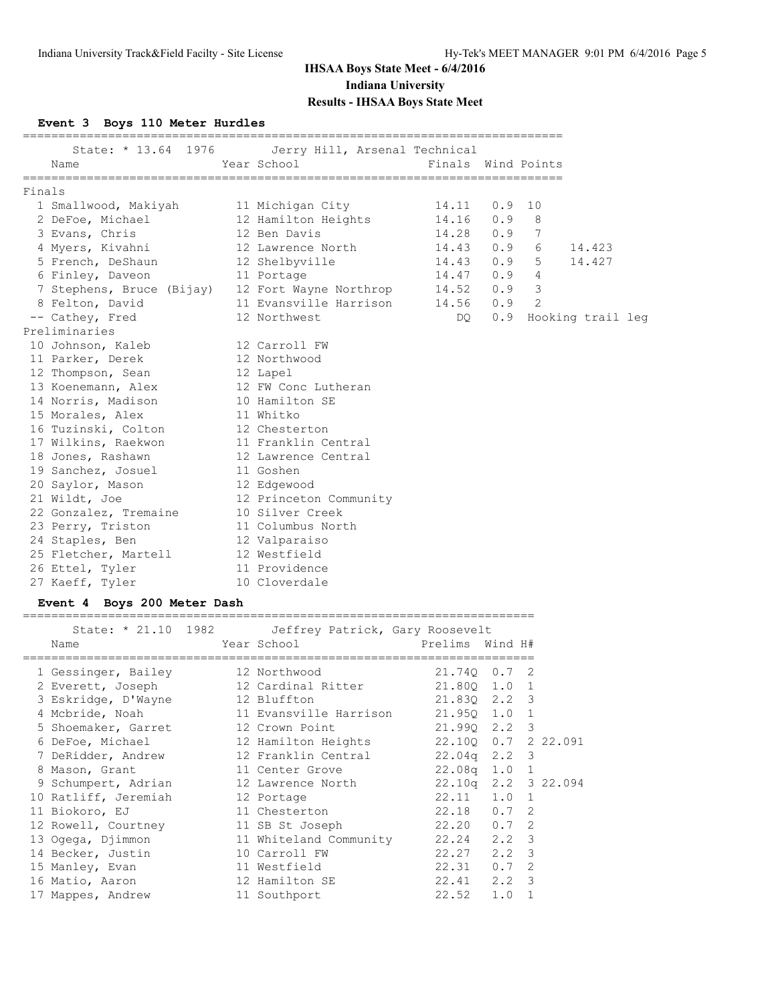### **Event 3 Boys 110 Meter Hurdles**

|        | Name                                                         | State: * 13.64 1976 Jerry Hill, Arsenal Technical<br>Year School and the School and the School | Finals Wind Points |          |                |                       |  |
|--------|--------------------------------------------------------------|------------------------------------------------------------------------------------------------|--------------------|----------|----------------|-----------------------|--|
| Finals |                                                              |                                                                                                |                    |          |                |                       |  |
|        | 1 Smallwood, Makiyah 11 Michigan City 14.11                  |                                                                                                |                    | $0.9$ 10 |                |                       |  |
|        | 2 DeFoe, Michael                                             | 12 Hamilton Heights 14.16                                                                      |                    | $0.9$ 8  |                |                       |  |
|        | 3 Evans, Chris                                               | 12 Ben Davis                                                                                   | 14.28              | 0.9      | 7              |                       |  |
|        | 4 Myers, Kivahni 12 Lawrence North                           |                                                                                                | 14.43              | 0.9      | 6              | 14.423                |  |
|        | 5 French, DeShaun                                            | 12 Shelbyville 14.43 0.9                                                                       |                    |          | 5              | 14.427                |  |
|        | 6 Finley, Daveon                                             | 11 Portage                                                                                     | $14.47$ 0.9 4      |          |                |                       |  |
|        | 7 Stephens, Bruce (Bijay) 12 Fort Wayne Northrop 14.52 0.9 3 |                                                                                                |                    |          |                |                       |  |
|        | 8 Felton, David                                              | 11 Evansville Harrison         14.56                                                           |                    | 0.9      | $\overline{2}$ |                       |  |
|        | -- Cathey, Fred                                              | 12 Northwest                                                                                   | DO                 |          |                | 0.9 Hooking trail leg |  |
|        | Preliminaries                                                |                                                                                                |                    |          |                |                       |  |
|        | 10 Johnson, Kaleb 12 Carroll FW                              |                                                                                                |                    |          |                |                       |  |
|        | 11 Parker, Derek 12 Northwood                                |                                                                                                |                    |          |                |                       |  |
|        | 12 Thompson, Sean 12 Lapel                                   |                                                                                                |                    |          |                |                       |  |
|        | 13 Koenemann, Alex 12 FW Conc Lutheran                       |                                                                                                |                    |          |                |                       |  |
|        | 14 Norris, Madison 10 Hamilton SE                            |                                                                                                |                    |          |                |                       |  |
|        | 15 Morales, Alex 11 Whitko                                   |                                                                                                |                    |          |                |                       |  |
|        | 16 Tuzinski, Colton 12 Chesterton                            |                                                                                                |                    |          |                |                       |  |
|        | 17 Wilkins, Raekwon 11 Franklin Central                      |                                                                                                |                    |          |                |                       |  |
|        | 18 Jones, Rashawn 12 Lawrence Central                        |                                                                                                |                    |          |                |                       |  |
|        | 19 Sanchez, Josuel 11 Goshen                                 |                                                                                                |                    |          |                |                       |  |
|        | 20 Saylor, Mason                                             | 12 Edgewood                                                                                    |                    |          |                |                       |  |
|        | 21 Wildt, Joe                                                | 12 Princeton Community                                                                         |                    |          |                |                       |  |
|        | 22 Gonzalez, Tremaine                                        | 10 Silver Creek                                                                                |                    |          |                |                       |  |
|        | 23 Perry, Triston                                            | 11 Columbus North                                                                              |                    |          |                |                       |  |
|        | 24 Staples, Ben                                              | 12 Valparaiso                                                                                  |                    |          |                |                       |  |
|        | 25 Fletcher, Martell 12 Westfield                            |                                                                                                |                    |          |                |                       |  |
|        | 26 Ettel, Tyler                                              | 11 Providence                                                                                  |                    |          |                |                       |  |
|        | 27 Kaeff, Tyler                                              | 10 Cloverdale                                                                                  |                    |          |                |                       |  |

### **Event 4 Boys 200 Meter Dash**

|                      | State: * 21.10 1982 Jeffrey Patrick, Gary Roosevelt |                     |               |              |
|----------------------|-----------------------------------------------------|---------------------|---------------|--------------|
| Name                 | Year School                                         | Prelims Wind H#     |               |              |
|                      |                                                     |                     |               |              |
| 1 Gessinger, Bailey  | 12 Northwood                                        | 21.740 0.7 2        |               |              |
| 2 Everett, Joseph    | 12 Cardinal Ritter 21.800 1.0 1                     |                     |               |              |
| 3 Eskridge, D'Wayne  | 12 Bluffton                                         | 21.83Q 2.2 3        |               |              |
| 4 Mcbride, Noah      | 11 Evansville Harrison 21.950 1.0 1                 |                     |               |              |
| 5 Shoemaker, Garret  | 12 Crown Point                                      | 21.990 2.2 3        |               |              |
| 6 DeFoe, Michael     | 12 Hamilton Heights                                 | 22.100 0.7 2 22.091 |               |              |
| 7 DeRidder, Andrew   | 12 Franklin Central 22.04q 2.2 3                    |                     |               |              |
| 8 Mason, Grant       | 11 Center Grove 22.08q 1.0 1                        |                     |               |              |
| 9 Schumpert, Adrian  | 12 Lawrence North                                   | 22.10g 2.2 3 22.094 |               |              |
| 10 Ratliff, Jeremiah | 12 Portage                                          | 22.11 1.0 1         |               |              |
| 11 Biokoro, EJ       | 11 Chesterton                                       | 22.18 0.7 2         |               |              |
| 12 Rowell, Courtney  | 11 SB St Joseph                                     | 22.20 0.7 2         |               |              |
| 13 Ogega, Djimmon    | 11 Whiteland Community 22.24 2.2 3                  |                     |               |              |
| 14 Becker, Justin    | 10 Carroll FW                                       | 22.27 2.2 3         |               |              |
| 15 Manley, Evan      | 11 Westfield                                        | 22.31               | $0.7 \quad 2$ |              |
| 16 Matio, Aaron      | 12 Hamilton SE                                      | 22.41 2.2 3         |               |              |
| 17 Mappes, Andrew    | 11 Southport                                        | 22.52               | 1.0           | $\mathbf{1}$ |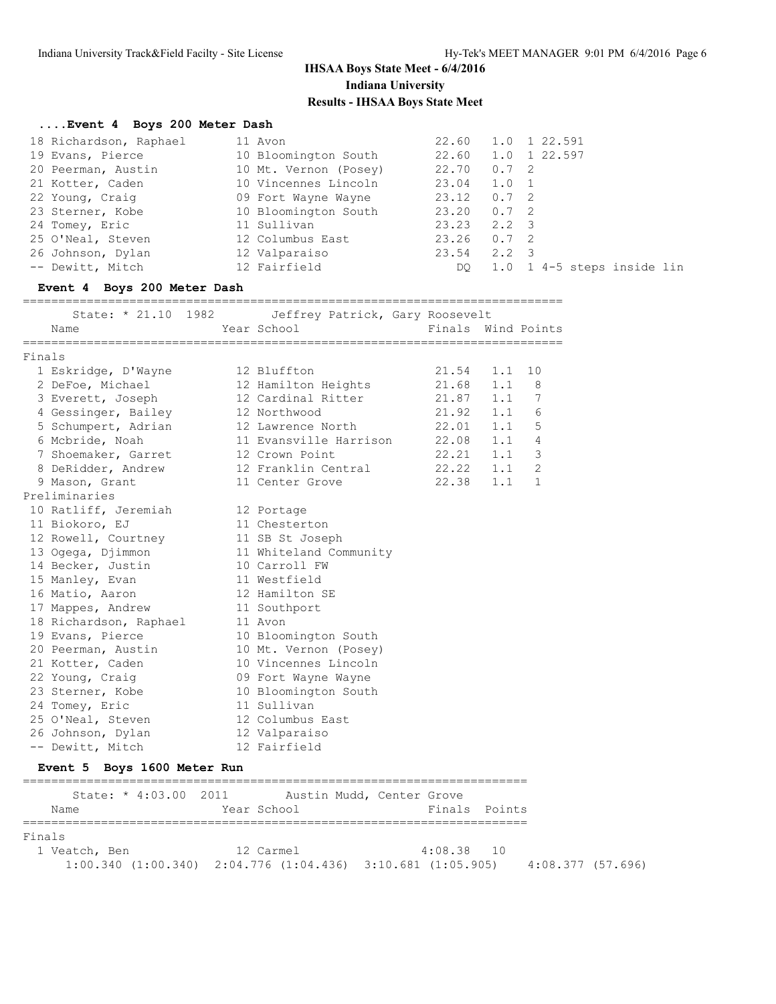### **....Event 4 Boys 200 Meter Dash**

| 18 Richardson, Raphael | 11 Avon               |       |               | 22.60 1.0 1 22.591         |
|------------------------|-----------------------|-------|---------------|----------------------------|
| 19 Evans, Pierce       | 10 Bloomington South  |       |               | 22.60 1.0 1 22.597         |
| 20 Peerman, Austin     | 10 Mt. Vernon (Posey) | 22.70 | $0.7 \quad 2$ |                            |
| 21 Kotter, Caden       | 10 Vincennes Lincoln  | 23.04 | 1.0 1         |                            |
| 22 Young, Craig        | 09 Fort Wayne Wayne   | 23.12 | $0.7 \quad 2$ |                            |
| 23 Sterner, Kobe       | 10 Bloomington South  | 23.20 | $0.7 \quad 2$ |                            |
| 24 Tomey, Eric         | 11 Sullivan           | 23.23 | 2.2 3         |                            |
| 25 O'Neal, Steven      | 12 Columbus East      | 23.26 | $0.7 \quad 2$ |                            |
| 26 Johnson, Dylan      | 12 Valparaiso         | 23.54 | $2.2 \quad 3$ |                            |
| -- Dewitt, Mitch       | 12 Fairfield          | DO.   |               | 1.0 1 4-5 steps inside lin |

#### **Event 4 Boys 200 Meter Dash**

#### ============================================================================

|        | State: * 21.10 1982    | Jeffrey Patrick, Gary Roosevelt |                    |     |              |
|--------|------------------------|---------------------------------|--------------------|-----|--------------|
|        | Name                   | Year School                     | Finals Wind Points |     |              |
| Finals |                        |                                 |                    |     |              |
|        | 1 Eskridge, D'Wayne    | 12 Bluffton                     | 21.54              | 1.1 | 10           |
|        | 2 DeFoe, Michael       | 12 Hamilton Heights             | 21.68              | 1.1 | 8            |
|        | 3 Everett, Joseph      | 12 Cardinal Ritter              | $21.87$ $1.1$      |     | 7            |
|        | 4 Gessinger, Bailey    | 12 Northwood                    | 21.92              | 1.1 | 6            |
|        | 5 Schumpert, Adrian    | 12 Lawrence North               | 22.01              | 1.1 | 5            |
|        | 6 Mcbride, Noah        | 11 Evansville Harrison          | 22.08              | 1.1 | 4            |
|        | 7 Shoemaker, Garret    | 12 Crown Point                  | 22.21              | 1.1 | 3            |
|        | 8 DeRidder, Andrew     | 12 Franklin Central             | 22.22              | 1.1 | 2            |
|        | 9 Mason, Grant         | 11 Center Grove                 | 22.38              | 1.1 | $\mathbf{1}$ |
|        | Preliminaries          |                                 |                    |     |              |
|        | 10 Ratliff, Jeremiah   | 12 Portage                      |                    |     |              |
|        | 11 Biokoro, EJ         | 11 Chesterton                   |                    |     |              |
|        | 12 Rowell, Courtney    | 11 SB St Joseph                 |                    |     |              |
|        | 13 Ogega, Djimmon      | 11 Whiteland Community          |                    |     |              |
|        | 14 Becker, Justin      | 10 Carroll FW                   |                    |     |              |
|        | 15 Manley, Evan        | 11 Westfield                    |                    |     |              |
|        | 16 Matio, Aaron        | 12 Hamilton SE                  |                    |     |              |
|        | 17 Mappes, Andrew      | 11 Southport                    |                    |     |              |
|        | 18 Richardson, Raphael | 11 Avon                         |                    |     |              |
|        | 19 Evans, Pierce       | 10 Bloomington South            |                    |     |              |
|        | 20 Peerman, Austin     | 10 Mt. Vernon (Posey)           |                    |     |              |
|        | 21 Kotter, Caden       | 10 Vincennes Lincoln            |                    |     |              |
|        | 22 Young, Craig        | 09 Fort Wayne Wayne             |                    |     |              |
|        | 23 Sterner, Kobe       | 10 Bloomington South            |                    |     |              |
|        | 24 Tomey, Eric         | 11 Sullivan                     |                    |     |              |
|        | 25 O'Neal, Steven      | 12 Columbus East                |                    |     |              |
|        | 26 Johnson, Dylan      | 12 Valparaiso                   |                    |     |              |
|        | -- Dewitt, Mitch       | 12 Fairfield                    |                    |     |              |

#### **Event 5 Boys 1600 Meter Run**

| State: * 4:03.00 2011<br>Name | Year School                                                             | Austin Mudd, Center Grove<br>Finals Points |                   |
|-------------------------------|-------------------------------------------------------------------------|--------------------------------------------|-------------------|
| Finals                        |                                                                         |                                            |                   |
| 1 Veatch, Ben                 | 12 Carmel                                                               | $4:08.38$ 10                               |                   |
|                               | $1:00.340$ $(1:00.340)$ $2:04.776$ $(1:04.436)$ $3:10.681$ $(1:05.905)$ |                                            | 4:08.377 (57.696) |

=======================================================================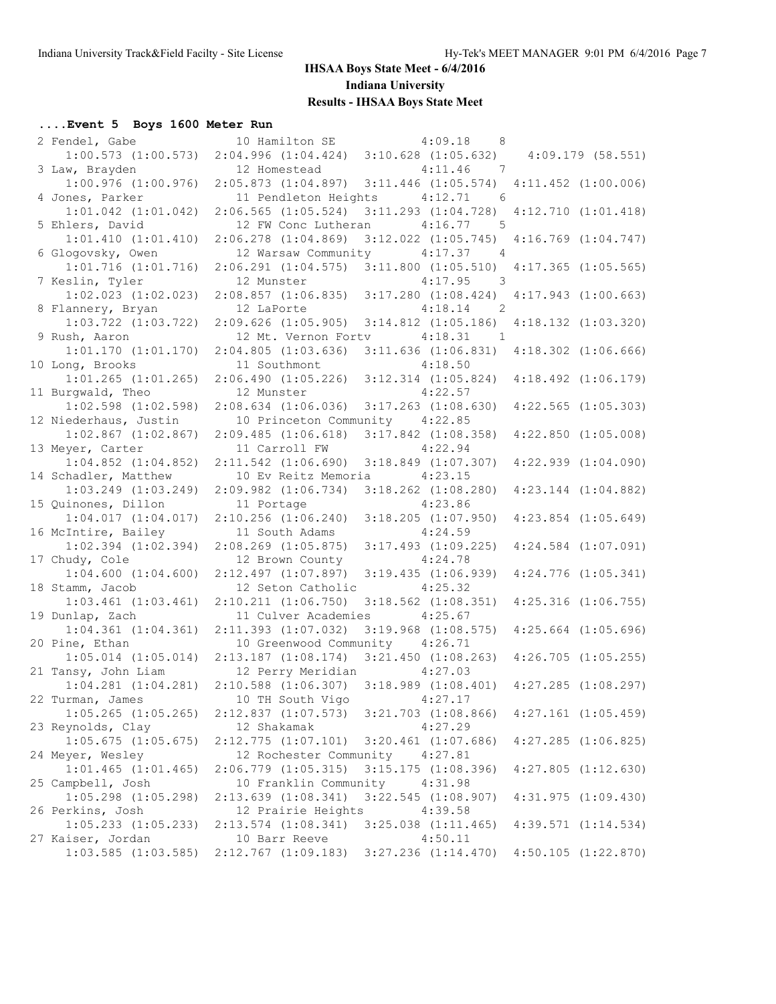## **....Event 5 Boys 1600 Meter Run**

| 2 Fendel, Gabe                             | 10 Hamilton SE 4:09.18                         | 8 <sup>8</sup>                                       |                         |  |
|--------------------------------------------|------------------------------------------------|------------------------------------------------------|-------------------------|--|
| $1:00.573$ $(1:00.573)$                    |                                                | $2:04.996$ $(1:04.424)$ $3:10.628$ $(1:05.632)$      | $4:09.179$ (58.551)     |  |
| 3 Law, Brayden                             | 12 Homestead                                   | 4:11.46<br>$\overline{7}$                            |                         |  |
| $1:00.976$ $(1:00.976)$                    | $2:05.873$ $(1:04.897)$                        | $3:11.446$ $(1:05.574)$                              | $4:11.452$ $(1:00.006)$ |  |
| 4 Jones, Parker                            | 11 Pendleton Heights                           | 4:12.71<br>- 6                                       |                         |  |
| $1:01.042$ $(1:01.042)$                    | $2:06.565$ $(1:05.524)$                        | $3:11.293$ $(1:04.728)$                              | 4:12.710(1:01.418)      |  |
| 5 Ehlers, David                            | 12 FW Conc Lutheran                            | 4:16.77<br>$5^{\circ}$                               |                         |  |
| $1:01.410$ $(1:01.410)$                    | $2:06.278$ $(1:04.869)$                        | $3:12.022$ $(1:05.745)$                              | $4:16.769$ $(1:04.747)$ |  |
| 6 Glogovsky, Owen                          | 12 Warsaw Community                            | 4:17.37<br>$\overline{4}$                            |                         |  |
| $1:01.716$ $(1:01.716)$                    | 2:06.291(1:04.575)                             | $3:11.800$ $(1:05.510)$                              | $4:17.365$ $(1:05.565)$ |  |
| 7 Keslin, Tyler                            | 12 Munster                                     | 4:17.95<br>$\overline{\phantom{a}}$                  |                         |  |
| $1:02.023$ $(1:02.023)$                    | 2:08.857(1:06.835)                             | $3:17.280$ $(1:08.424)$                              | $4:17.943$ $(1:00.663)$ |  |
| 8 Flannery, Bryan                          | 12 LaPorte                                     | 4:18.14<br>$\overline{\phantom{0}}^2$                |                         |  |
| $1:03.722$ $(1:03.722)$                    | $2:09.626$ $(1:05.905)$                        | $3:14.812$ $(1:05.186)$<br>4:18.31<br>$\overline{1}$ | $4:18.132$ $(1:03.320)$ |  |
| 9 Rush, Aaron<br>1:01.170(1:01.170)        | 12 Mt. Vernon Fortv<br>$2:04.805$ $(1:03.636)$ | $3:11.636$ $(1:06.831)$                              | $4:18.302$ $(1:06.666)$ |  |
| 10 Long, Brooks                            | 11 Southmont                                   | 4:18.50                                              |                         |  |
| $1:01.265$ $(1:01.265)$                    | 2:06.490(1:05.226)                             | $3:12.314$ $(1:05.824)$                              | $4:18.492$ $(1:06.179)$ |  |
| 11 Burgwald, Theo                          | 12 Munster                                     | 4:22.57                                              |                         |  |
| $1:02.598$ $(1:02.598)$                    | $2:08.634$ $(1:06.036)$                        | $3:17.263$ $(1:08.630)$                              | $4:22.565$ $(1:05.303)$ |  |
| 12 Niederhaus, Justin                      | 10 Princeton Community 4:22.85                 |                                                      |                         |  |
| $1:02.867$ $(1:02.867)$                    | 2:09.485(1:06.618)                             | $3:17.842$ $(1:08.358)$                              | $4:22.850$ $(1:05.008)$ |  |
| 13 Meyer, Carter                           | 11 Carroll FW                                  | 4:22.94                                              |                         |  |
| $1:04.852$ $(1:04.852)$                    | $2:11.542$ $(1:06.690)$                        | $3:18.849$ $(1:07.307)$                              | $4:22.939$ $(1:04.090)$ |  |
| 14 Schadler, Matthew                       | 10 Ev Reitz Memoria                            | 4:23.15                                              |                         |  |
| $1:03.249$ $(1:03.249)$                    | $2:09.982$ $(1:06.734)$                        | $3:18.262$ $(1:08.280)$                              | $4:23.144$ $(1:04.882)$ |  |
| 15 Quinones, Dillon                        | 11 Portage                                     | 4:23.86                                              |                         |  |
| 1:04.017(1:04.017)                         | $2:10.256$ $(1:06.240)$                        | $3:18.205$ $(1:07.950)$                              | $4:23.854$ $(1:05.649)$ |  |
| 16 McIntire, Bailey                        | 11 South Adams                                 | 4:24.59                                              |                         |  |
| $1:02.394$ $(1:02.394)$                    | $2:08.269$ $(1:05.875)$                        | $3:17.493$ $(1:09.225)$                              | $4:24.584$ $(1:07.091)$ |  |
| 17 Chudy, Cole                             | 12 Brown County                                | 4:24.78                                              |                         |  |
| $1:04.600$ $(1:04.600)$                    | $2:12.497$ $(1:07.897)$                        | 3:19.435(1:06.939)                                   | $4:24.776$ $(1:05.341)$ |  |
| 18 Stamm, Jacob                            | 12 Seton Catholic                              | 4:25.32                                              |                         |  |
| $1:03.461$ $(1:03.461)$                    | $2:10.211$ $(1:06.750)$                        | $3:18.562$ $(1:08.351)$                              | $4:25.316$ $(1:06.755)$ |  |
| 19 Dunlap, Zach<br>$1:04.361$ $(1:04.361)$ | 11 Culver Academies<br>$2:11.393$ $(1:07.032)$ | 4:25.67<br>$3:19.968$ $(1:08.575)$                   | $4:25.664$ $(1:05.696)$ |  |
| 20 Pine, Ethan                             | 10 Greenwood Community 4:26.71                 |                                                      |                         |  |
| $1:05.014$ $(1:05.014)$                    | $2:13.187$ $(1:08.174)$                        | $3:21.450$ $(1:08.263)$                              | $4:26.705$ $(1:05.255)$ |  |
| 21 Tansy, John Liam                        | 12 Perry Meridian                              | 4:27.03                                              |                         |  |
| $1:04.281$ $(1:04.281)$                    | $2:10.588$ $(1:06.307)$                        | $3:18.989$ $(1:08.401)$                              | $4:27.285$ $(1:08.297)$ |  |
| 22 Turman, James                           | 10 TH South Vigo 4:27.17                       |                                                      |                         |  |
| $1:05.265$ $(1:05.265)$                    | $2:12.837$ $(1:07.573)$                        | $3:21.703$ $(1:08.866)$                              | $4:27.161$ $(1:05.459)$ |  |
| 23 Reynolds, Clay                          | 12 Shakamak                                    | 4:27.29                                              |                         |  |
| $1:05.675$ $(1:05.675)$                    | $2:12.775$ $(1:07.101)$                        | $3:20.461$ $(1:07.686)$                              | $4:27.285$ $(1:06.825)$ |  |
| 24 Meyer, Wesley                           | 12 Rochester Community 4:27.81                 |                                                      |                         |  |
| $1:01.465$ $(1:01.465)$                    | $2:06.779$ $(1:05.315)$                        | $3:15.175$ $(1:08.396)$                              | $4:27.805$ $(1:12.630)$ |  |
| 25 Campbell, Josh                          | 10 Franklin Community                          | 4:31.98                                              |                         |  |
| $1:05.298$ $(1:05.298)$                    | $2:13.639$ $(1:08.341)$                        | $3:22.545$ $(1:08.907)$                              | 4:31.975(1:09.430)      |  |
| 26 Perkins, Josh                           | 12 Prairie Heights                             | 4:39.58                                              |                         |  |
| $1:05.233$ $(1:05.233)$                    | $2:13.574$ $(1:08.341)$                        | $3:25.038$ $(1:11.465)$                              | $4:39.571$ $(1:14.534)$ |  |
| 27 Kaiser, Jordan                          | 10 Barr Reeve                                  | 4:50.11                                              |                         |  |
| $1:03.585$ $(1:03.585)$                    | $2:12.767$ $(1:09.183)$                        | $3:27.236$ $(1:14.470)$                              | $4:50.105$ $(1:22.870)$ |  |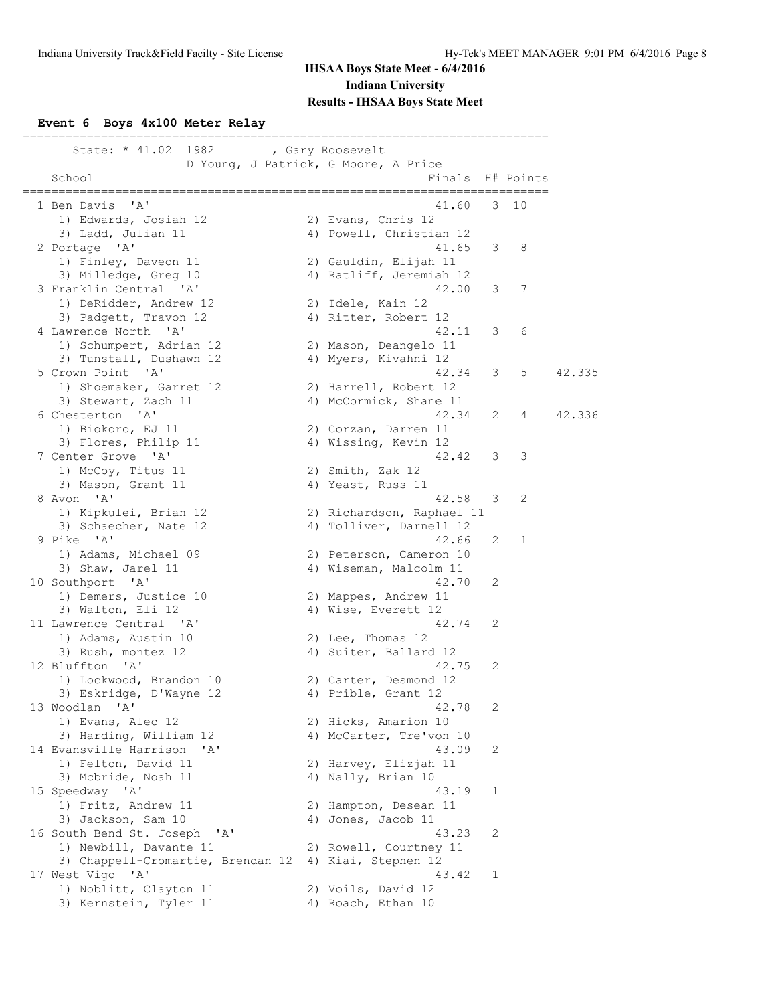### **Event 6 Boys 4x100 Meter Relay**

| State: * 41.02<br>1982 , Gary Roosevelt                        |                                                |   |           |        |
|----------------------------------------------------------------|------------------------------------------------|---|-----------|--------|
| School                                                         | D Young, J Patrick, G Moore, A Price<br>Finals |   | H# Points |        |
| =========                                                      |                                                |   |           |        |
| $^{\prime}$ A <sup><math>^{\prime}</math></sup><br>1 Ben Davis | 41.60                                          | 3 | 10        |        |
| 1) Edwards, Josiah 12                                          | 2) Evans, Chris 12                             |   |           |        |
| 3) Ladd, Julian 11                                             | 4) Powell, Christian 12                        |   |           |        |
| 2 Portage 'A'                                                  | 41.65                                          | 3 | 8         |        |
| 1) Finley, Daveon 11                                           | 2) Gauldin, Elijah 11                          |   |           |        |
| 3) Milledge, Greg 10                                           | 4) Ratliff, Jeremiah 12                        |   |           |        |
| 3 Franklin Central 'A'                                         | 42.00                                          | 3 | 7         |        |
| 1) DeRidder, Andrew 12                                         | 2) Idele, Kain 12                              |   |           |        |
| 3) Padgett, Travon 12                                          | 4) Ritter, Robert 12                           |   |           |        |
| 4 Lawrence North 'A'                                           | 42.11                                          | 3 | 6         |        |
| 1) Schumpert, Adrian 12                                        | 2) Mason, Deangelo 11                          |   |           |        |
| 3) Tunstall, Dushawn 12                                        | 4) Myers, Kivahni 12                           |   |           |        |
| 5 Crown Point 'A'                                              | 42.34                                          | 3 | 5         | 42.335 |
| 1) Shoemaker, Garret 12                                        | 2) Harrell, Robert 12                          |   |           |        |
| 3) Stewart, Zach 11                                            | 4) McCormick, Shane 11                         |   |           |        |
| 6 Chesterton 'A'                                               | 42.34                                          | 2 | 4         | 42.336 |
| 1) Biokoro, EJ 11                                              | 2) Corzan, Darren 11                           |   |           |        |
| 3) Flores, Philip 11                                           | 4) Wissing, Kevin 12                           |   |           |        |
| 7 Center Grove 'A'                                             | 42.42                                          | 3 | 3         |        |
| 1) McCoy, Titus 11                                             | 2) Smith, Zak 12                               |   |           |        |
| 3) Mason, Grant 11                                             | 4) Yeast, Russ 11                              |   |           |        |
| 8 Avon 'A'                                                     | 42.58                                          | 3 | 2         |        |
| 1) Kipkulei, Brian 12                                          | 2) Richardson, Raphael 11                      |   |           |        |
| 3) Schaecher, Nate 12                                          | 4) Tolliver, Darnell 12                        |   |           |        |
| 9 Pike 'A'                                                     | 42.66                                          | 2 | 1         |        |
| 1) Adams, Michael 09                                           | 2) Peterson, Cameron 10                        |   |           |        |
| 3) Shaw, Jarel 11                                              | 4) Wiseman, Malcolm 11                         |   |           |        |
| 10 Southport 'A'                                               | 42.70                                          | 2 |           |        |
| 1) Demers, Justice 10                                          | 2) Mappes, Andrew 11                           |   |           |        |
| 3) Walton, Eli 12                                              | 4) Wise, Everett 12                            |   |           |        |
| 11 Lawrence Central<br>$^{\prime}$ A $^{\prime}$               | 42.74                                          | 2 |           |        |
| 1) Adams, Austin 10                                            | 2) Lee, Thomas 12                              |   |           |        |
| 3) Rush, montez 12                                             | 4) Suiter, Ballard 12                          |   |           |        |
| 12 Bluffton 'A'                                                | 42.75                                          | 2 |           |        |
| 1) Lockwood, Brandon 10                                        | 2) Carter, Desmond 12                          |   |           |        |
| 3) Eskridge, D'Wayne 12                                        | 4) Prible, Grant 12                            |   |           |        |
| 13 Woodlan 'A'                                                 | 42.78                                          | 2 |           |        |
| 1) Evans, Alec 12                                              | 2) Hicks, Amarion 10                           |   |           |        |
| 3) Harding, William 12                                         | 4) McCarter, Tre'von 10                        |   |           |        |
| 14 Evansville Harrison<br>' A'                                 | 43.09                                          | 2 |           |        |
| 1) Felton, David 11                                            | 2) Harvey, Elizjah 11                          |   |           |        |
| 3) Mcbride, Noah 11                                            | 4) Nally, Brian 10                             |   |           |        |
| 15 Speedway 'A'                                                | 43.19                                          | 1 |           |        |
| 1) Fritz, Andrew 11                                            | 2) Hampton, Desean 11                          |   |           |        |
| 3) Jackson, Sam 10                                             | 4) Jones, Jacob 11                             |   |           |        |
| 16 South Bend St. Joseph 'A'                                   | 43.23                                          | 2 |           |        |
| 1) Newbill, Davante 11                                         | 2) Rowell, Courtney 11                         |   |           |        |
| 3) Chappell-Cromartie, Brendan 12                              | 4) Kiai, Stephen 12                            |   |           |        |
| 17 West Vigo 'A'                                               | 43.42                                          | 1 |           |        |
| 1) Noblitt, Clayton 11                                         | 2) Voils, David 12                             |   |           |        |
| 3) Kernstein, Tyler 11                                         | 4) Roach, Ethan 10                             |   |           |        |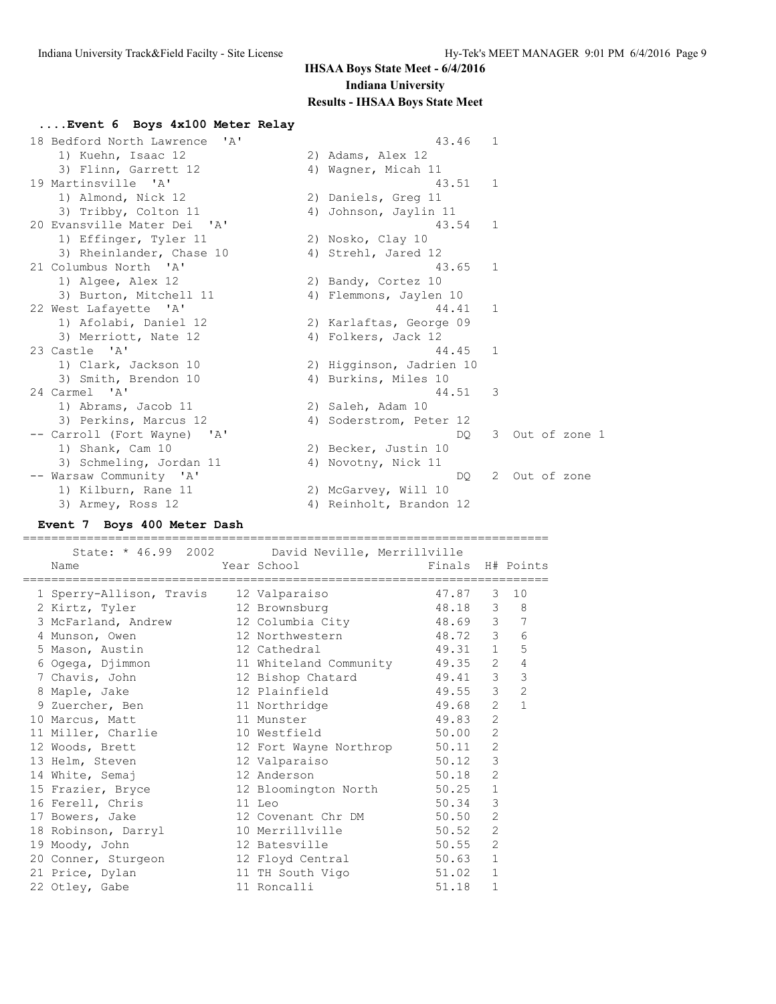| Event 6 Boys 4x100 Meter Relay           |                          |              |               |
|------------------------------------------|--------------------------|--------------|---------------|
| 18 Bedford North Lawrence<br><u>י אַ</u> | 43.46                    | 1            |               |
| 1) Kuehn, Isaac 12                       | 2) Adams, Alex 12        |              |               |
| 3) Flinn, Garrett 12                     | 4) Waqner, Micah 11      |              |               |
| 19 Martinsville 'A'                      | 43.51                    | $\mathbf{1}$ |               |
| 1) Almond, Nick 12                       | 2) Daniels, Greg 11      |              |               |
| 3) Tribby, Colton 11                     | 4) Johnson, Jaylin 11    |              |               |
| 20 Evansville Mater Dei 'A'              | 43.54                    | 1            |               |
| 1) Effinger, Tyler 11                    | 2) Nosko, Clay 10        |              |               |
| 3) Rheinlander, Chase 10                 | 4) Strehl, Jared 12      |              |               |
| 21 Columbus North 'A'                    | 43.65                    | 1            |               |
| 1) Algee, Alex 12                        | 2) Bandy, Cortez 10      |              |               |
| 3) Burton, Mitchell 11                   | 4) Flemmons, Jaylen 10   |              |               |
| 22 West Lafayette 'A'                    | 44.41                    | 1            |               |
| 1) Afolabi, Daniel 12                    | 2) Karlaftas, George 09  |              |               |
| 3) Merriott, Nate 12                     | 4) Folkers, Jack 12      |              |               |
| 23 Castle 'A'                            | 44.45                    | $\mathbf{1}$ |               |
| 1) Clark, Jackson 10                     | 2) Higginson, Jadrien 10 |              |               |
| 3) Smith, Brendon 10                     | 4) Burkins, Miles 10     |              |               |
| 24 Carmel 'A'                            | 44.51                    | 3            |               |
| 1) Abrams, Jacob 11                      | 2) Saleh, Adam 10        |              |               |
| 3) Perkins, Marcus 12                    | 4) Soderstrom, Peter 12  |              |               |
| -- Carroll (Fort Wayne) 'A'              | DO.                      | 3.           | Out of zone 1 |
| 1) Shank, Cam 10                         | 2) Becker, Justin 10     |              |               |
| 3) Schmeling, Jordan 11                  | 4) Novotny, Nick 11      |              |               |
| -- Warsaw Community 'A'                  | DO.                      | 2            | Out of zone   |
| 1) Kilburn, Rane 11                      | 2) McGarvey, Will 10     |              |               |
| 3) Armey, Ross 12                        | 4) Reinholt, Brandon 12  |              |               |

#### **Event 7 Boys 400 Meter Dash**

==========================================================================

|  |                                                   | State: * 46.99 2002 David Neville, Merrillville          |                  |                |                |
|--|---------------------------------------------------|----------------------------------------------------------|------------------|----------------|----------------|
|  | Name                                              | Year School and the School and the School and the School | Finals H# Points |                |                |
|  | 1 Sperry-Allison, Travis 12 Valparaiso 47.87 3 10 | ------------------------------------                     |                  |                |                |
|  | 2 Kirtz, Tyler                                    | 12 Brownsburg 18.18 3 8                                  |                  |                |                |
|  | 3 McFarland, Andrew                               | 12 Columbia City 48.69 3 7                               |                  |                |                |
|  | 4 Munson, Owen                                    | 12 Northwestern 48.72 3                                  |                  |                | 6              |
|  | 5 Mason, Austin                                   | 12 Cathedral                                             | 49.31 1          |                | 5              |
|  |                                                   |                                                          |                  |                | $\overline{4}$ |
|  | 7 Chavis, John                                    | 12 Bishop Chatard                                        | 49.41 3          |                | 3              |
|  | 8 Maple, Jake                                     | 12 Plainfield 49.55 3                                    |                  |                | $\overline{c}$ |
|  | 9 Zuercher, Ben                                   | 11 Northridge                                            | 49.68            | 2              | $\mathbf{1}$   |
|  | 10 Marcus, Matt                                   | 11 Munster                                               | 49.83            | $\overline{2}$ |                |
|  | 11 Miller, Charlie                                | 10 Westfield                                             | 50.00            | $\overline{2}$ |                |
|  | 12 Woods, Brett                                   | 12 Fort Wayne Northrop 50.11                             |                  | 2              |                |
|  | 13 Helm, Steven                                   | 12 Valparaiso                                            | 50.12            | 3              |                |
|  | 14 White, Semaj                                   | 12 Anderson                                              | 50.18            | 2              |                |
|  | 15 Frazier, Bryce                                 | 12 Bloomington North 50.25                               |                  | $\mathbf{1}$   |                |
|  | 16 Ferell, Chris                                  | 11 Leo                                                   | 50.34            | 3              |                |
|  | 17 Bowers, Jake                                   | 12 Covenant Chr DM 50.50                                 |                  | $\overline{2}$ |                |
|  | 18 Robinson, Darryl                               | 10 Merrillville 50.52                                    |                  | $\overline{2}$ |                |
|  | 19 Moody, John                                    | 12 Batesville 50.55                                      |                  | $\overline{2}$ |                |
|  | 20 Conner, Sturgeon                               | 12 Floyd Central 50.63                                   |                  | $\mathbf{1}$   |                |
|  | 21 Price, Dylan                                   | 11 TH South Vigo                                         | 51.02            | $\mathbf{1}$   |                |
|  | 22 Otley, Gabe                                    | 11 Roncalli                                              | 51.18            | $\mathbf 1$    |                |
|  |                                                   |                                                          |                  |                |                |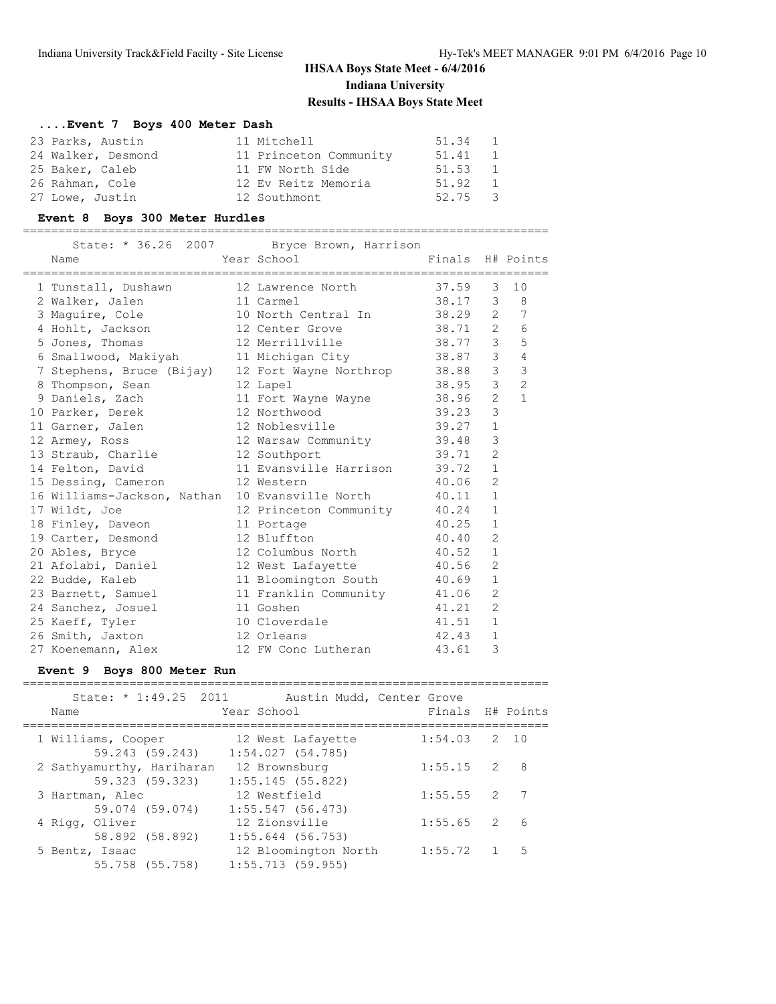## **....Event 7 Boys 400 Meter Dash**

| 23 Parks, Austin   | 11 Mitchell            | 51.34 1 |               |
|--------------------|------------------------|---------|---------------|
| 24 Walker, Desmond | 11 Princeton Community | 51.41 1 |               |
| 25 Baker, Caleb    | 11 FW North Side       | 51.53 1 |               |
| 26 Rahman, Cole    | 12 Ev Reitz Memoria    | 51.92   | $\mathbf{1}$  |
| 27 Lowe, Justin    | 12 Southmont           | 52.75   | $\mathcal{R}$ |

#### **Event 8 Boys 300 Meter Hurdles**

==========================================================================

|                                                                       | State: * 36.26 2007 Bryce Brown, Harrison |                  |                |                |
|-----------------------------------------------------------------------|-------------------------------------------|------------------|----------------|----------------|
| Name                                                                  | Year School                               | Finals H# Points |                |                |
|                                                                       |                                           |                  |                |                |
| 1 Tunstall, Dushawn 12 Lawrence North 37.59                           |                                           |                  | 3              | 10             |
| 2 Walker, Jalen<br>and 11 Carmel                                      |                                           | 38.17 3 8        |                |                |
| 3 Maguire, Cole               10 North Central In           38.29   2 |                                           |                  |                | 7              |
| 4 Hohlt, Jackson                                                      | 12 Center Grove 38.71 2                   |                  |                | 6              |
| 5 Jones, Thomas                                                       | 12 Merrillville 38.77                     |                  | $\mathcal{E}$  | 5              |
| 6 Smallwood, Makiyah 11 Michigan City 38.87 3                         |                                           |                  |                | $\overline{4}$ |
| 7 Stephens, Bruce (Bijay) 12 Fort Wayne Northrop 38.88                |                                           |                  | $\overline{3}$ | 3              |
| 8 Thompson, Sean                                                      | 38.95<br>12 Lapel                         |                  | $\mathcal{E}$  | $\overline{2}$ |
| 9 Daniels, Zach                                                       | 11 Fort Wayne Wayne 38.96                 |                  | $\overline{2}$ | $\mathbf{1}$   |
| 10 Parker, Derek 12 Northwood                                         |                                           | 39.23            | $\overline{3}$ |                |
| 11 Garner, Jalen 12 Noblesville                                       |                                           | 39.27            | $\mathbf{1}$   |                |
| 12 Armey, Ross                                                        | 12 Warsaw Community 39.48                 |                  | 3              |                |
| 13 Straub, Charlie                                                    | 12 Southport                              | 39.71            | $\overline{2}$ |                |
| 14 Felton, David                                                      | 11 Evansville Harrison 39.72              |                  | $\mathbf{1}$   |                |
| 15 Dessing, Cameron                                                   | 12 Western                                | 40.06            | $\overline{2}$ |                |
| 16 Williams-Jackson, Nathan 10 Evansville North 40.11                 |                                           |                  | $\mathbf{1}$   |                |
| 17 Wildt, Joe                                                         | 12 Princeton Community 40.24              |                  | $\mathbf{1}$   |                |
| 18 Finley, Daveon                                                     | 11 Portage                                | 40.25            | $\mathbf{1}$   |                |
| 19 Carter, Desmond                                                    | 12 Bluffton                               | 40.40            | $\overline{2}$ |                |
| 20 Ables, Bryce                                                       | 12 Columbus North 40.52                   |                  | $\mathbf{1}$   |                |
| 21 Afolabi, Daniel                                                    | 12 West Lafayette 40.56                   |                  | $\overline{2}$ |                |
| 22 Budde, Kaleb                                                       | 11 Bloomington South 40.69                |                  | $\mathbf{1}$   |                |
| 23 Barnett, Samuel                                                    | 11 Franklin Community 41.06               |                  | $\overline{2}$ |                |
| 24 Sanchez, Josuel                                                    | 11 Goshen                                 | 41.21            | $\overline{2}$ |                |
| 25 Kaeff, Tyler                                                       | 10 Cloverdale                             | 41.51            | $\mathbf{1}$   |                |
| 26 Smith, Jaxton                                                      | 12 Orleans                                | 42.43            | $\mathbf{1}$   |                |
| 27 Koenemann, Alex                                                    | 12 FW Conc Lutheran                       | 43.61            | 3              |                |

#### **Event 9 Boys 800 Meter Run**

| State: * 1:49.25 2011<br>Name                | Austin Mudd, Center Grove<br>Year School    | Finals H# Points |               |   |
|----------------------------------------------|---------------------------------------------|------------------|---------------|---|
| 1 Williams, Cooper<br>59.243 (59.243)        | 12 West Lafayette<br>1:54.027(54.785)       | $1:54.03$ 2 10   |               |   |
| 2 Sathyamurthy, Hariharan<br>59.323 (59.323) | 12 Brownsburg<br>$1:55.145$ (55.822)        | 1:55.15          | $\mathcal{P}$ | 8 |
| 3 Hartman, Alec<br>59.074 (59.074)           | 12 Westfield<br>$1:55.547$ (56.473)         | 1:55.55          | $\mathcal{L}$ |   |
| 4 Rigg, Oliver<br>58.892 (58.892)            | 12 Zionsville<br>$1:55.644$ (56.753)        | 1:55.65          | $\mathcal{L}$ | 6 |
| 5 Bentz, Isaac<br>55.758 (55.758)            | 12 Bloomington North<br>$1:55.713$ (59.955) | 1:55.72          |               | 5 |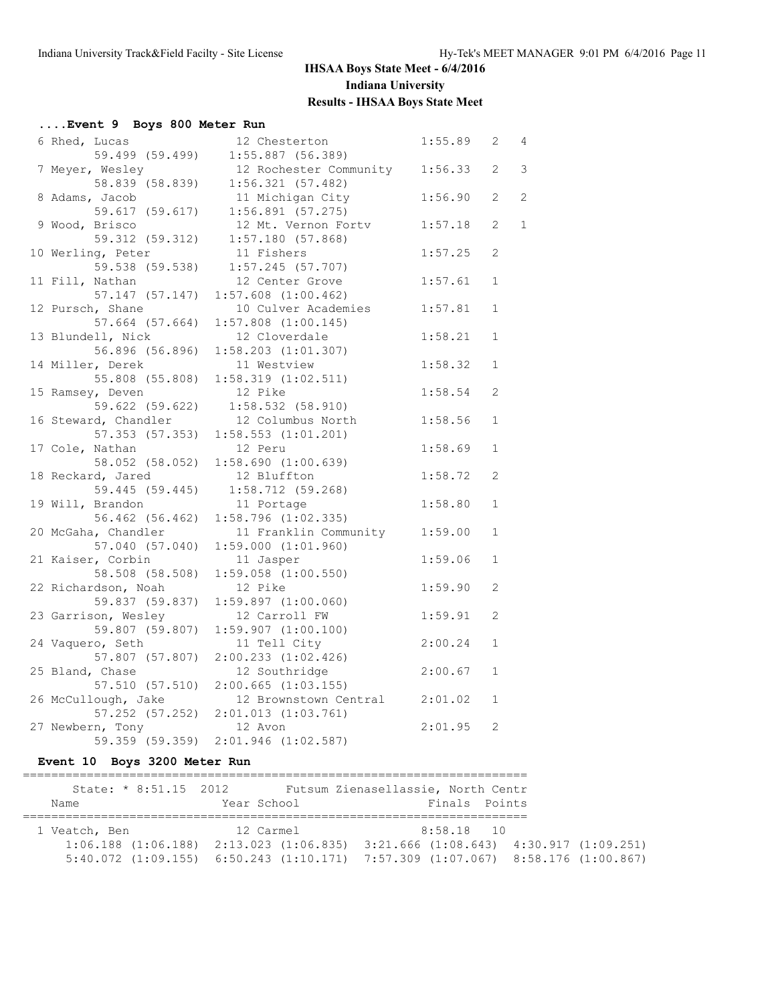| Event 9 Boys 800 Meter Run |                               |         |                       |                |
|----------------------------|-------------------------------|---------|-----------------------|----------------|
| 6 Rhed, Lucas              | 12 Chesterton                 | 1:55.89 | $\mathbf{2}^{\prime}$ | $\overline{4}$ |
| 59.499 (59.499)            | $1:55.887$ (56.389)           |         |                       |                |
| 7 Meyer, Wesley            | 12 Rochester Community        | 1:56.33 | $\overline{2}$        | 3              |
| 58.839 (58.839)            | 1:56.321(57.482)              |         |                       |                |
| 8 Adams, Jacob             | 11 Michigan City              | 1:56.90 | $\overline{2}$        | 2              |
| 59.617 (59.617)            | $1:56.891$ (57.275)           |         |                       |                |
| 9 Wood, Brisco             | 12 Mt. Vernon Fortv           | 1:57.18 | 2                     | $\mathbf{1}$   |
| 59.312 (59.312)            | 1:57.180(57.868)              |         |                       |                |
| 10 Werling, Peter          | 11 Fishers                    | 1:57.25 | 2                     |                |
| 59.538 (59.538)            | $1:57.245$ (57.707)           |         |                       |                |
| 11 Fill, Nathan            | 12 Center Grove               | 1:57.61 | 1                     |                |
| 57.147 (57.147)            | $1:57.608$ $(1:00.462)$       |         |                       |                |
| 12 Pursch, Shane           | 10 Culver Academies           | 1:57.81 | $\mathbf{1}$          |                |
| 57.664 (57.664)            | $1:57.808$ $(1:00.145)$       |         |                       |                |
| 13 Blundell, Nick          | 12 Cloverdale                 | 1:58.21 | $\mathbf{1}$          |                |
| 56.896 (56.896)            | $1:58.203$ $(1:01.307)$       |         |                       |                |
| 14 Miller, Derek           | 11 Westview                   | 1:58.32 | $\mathbf{1}$          |                |
| 55.808 (55.808)            | $1:58.319$ $(1:02.511)$       |         |                       |                |
| 15 Ramsey, Deven           | 12 Pike                       | 1:58.54 | $\overline{c}$        |                |
| 59.622 (59.622)            | $1:58.532$ (58.910)           |         |                       |                |
| 16 Steward, Chandler       | 12 Columbus North             | 1:58.56 | $\mathbf{1}$          |                |
| 57.353 (57.353)            | $1:58.553$ $(1:01.201)$       |         |                       |                |
| 17 Cole, Nathan            | 12 Peru                       | 1:58.69 | $\mathbf{1}$          |                |
| 58.052 (58.052)            | 1:58.690(1:00.639)            |         |                       |                |
| 18 Reckard, Jared          | 12 Bluffton                   | 1:58.72 | 2                     |                |
| 59.445 (59.445)            | 1:58.712(59.268)              |         |                       |                |
| 19 Will, Brandon           | 11 Portage                    | 1:58.80 | $\mathbf{1}$          |                |
| 56.462 (56.462)            | $1:58.796$ $(1:02.335)$       |         |                       |                |
| 20 McGaha, Chandler        | 11 Franklin Community         | 1:59.00 | $\mathbf{1}$          |                |
| 57.040 (57.040)            | 1:59.000(1:01.960)            |         |                       |                |
| 21 Kaiser, Corbin          | 11 Jasper                     | 1:59.06 | $\mathbf 1$           |                |
| 58.508 (58.508)            | $1:59.058$ $(1:00.550)$       |         |                       |                |
| 22 Richardson, Noah        | 12 Pike                       | 1:59.90 | 2                     |                |
| 59.837 (59.837)            | $1:59.897$ $(1:00.060)$       |         |                       |                |
| 23 Garrison, Wesley        | 12 Carroll FW                 | 1:59.91 | $\overline{2}$        |                |
| 59.807 (59.807)            | $1:59.907$ $(1:00.100)$       |         |                       |                |
| 24 Vaquero, Seth           | 11 Tell City                  | 2:00.24 | $\mathbf{1}$          |                |
| 57.807 (57.807)            | $2:00.233$ $(1:02.426)$       |         |                       |                |
| 25 Bland, Chase            | 12 Southridge                 | 2:00.67 | $\mathbf{1}$          |                |
| 57.510 (57.510)            | $2:00.665$ $(1:03.155)$       |         |                       |                |
| 26 McCullough, Jake        | 12 Brownstown Central 2:01.02 |         | $\mathbf{1}$          |                |
| 57.252 (57.252)            | $2:01.013$ $(1:03.761)$       |         |                       |                |
| 27 Newbern, Tony           | 12 Avon                       | 2:01.95 | 2                     |                |
| 59.359 (59.359)            | $2:01.946$ $(1:02.587)$       |         |                       |                |
|                            |                               |         |                       |                |

# **Event 10 Boys 3200 Meter Run**

|               |  | State: * 8:51.15 2012 |  |  |             |  | Futsum Zienasellassie, North Centr                                                      |  |               |  |  |
|---------------|--|-----------------------|--|--|-------------|--|-----------------------------------------------------------------------------------------|--|---------------|--|--|
| Name          |  |                       |  |  | Year School |  |                                                                                         |  | Finals Points |  |  |
| 1 Veatch, Ben |  |                       |  |  | 12 Carmel   |  |                                                                                         |  | $8:58.18$ 10  |  |  |
|               |  |                       |  |  |             |  |                                                                                         |  |               |  |  |
|               |  |                       |  |  |             |  | $1:06.188$ (1:06.188) $2:13.023$ (1:06.835) $3:21.666$ (1:08.643) $4:30.917$ (1:09.251) |  |               |  |  |
|               |  |                       |  |  |             |  | $5:40.072$ (1:09.155) 6:50.243 (1:10.171) 7:57.309 (1:07.067) 8:58.176 (1:00.867)       |  |               |  |  |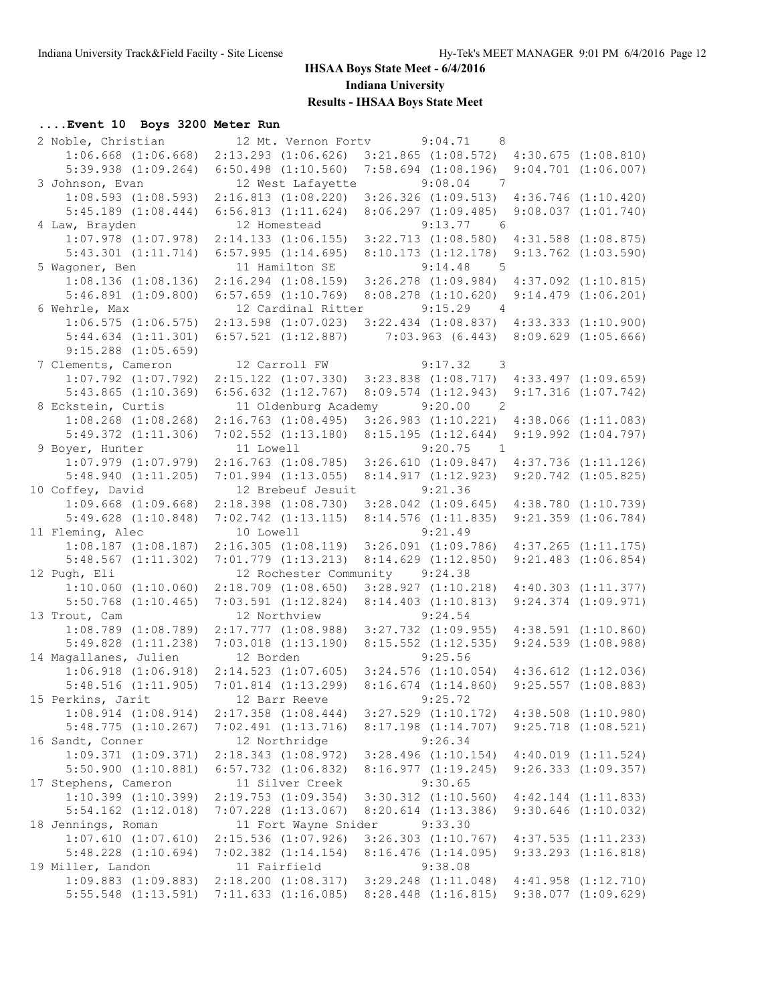## **....Event 10 Boys 3200 Meter Run**

| 2 Noble, Christian                                 | 12 Mt. Vernon Forty                  | 9:04.71<br>- 8                            |                                                    |
|----------------------------------------------------|--------------------------------------|-------------------------------------------|----------------------------------------------------|
| $1:06.668$ $(1:06.668)$                            | $2:13.293$ $(1:06.626)$              | $3:21.865$ $(1:08.572)$                   | 4:30.675(1:08.810)                                 |
| $5:39.938$ $(1:09.264)$                            | $6:50.498$ $(1:10.560)$              | $7:58.694$ $(1:08.196)$                   | $9:04.701$ $(1:06.007)$                            |
| 3 Johnson, Evan                                    | 12 West Lafayette                    | 9:08.04<br>$\overline{7}$                 |                                                    |
| $1:08.593$ $(1:08.593)$                            | 2:16.813(1:08.220)                   | $3:26.326$ $(1:09.513)$                   | $4:36.746$ $(1:10.420)$                            |
| $5:45.189$ $(1:08.444)$                            | $6:56.813$ $(1:11.624)$              | 8:06.297(1:09.485)                        | 9:08.037(1:01.740)                                 |
| 4 Law, Brayden                                     | 12 Homestead                         | 9:13.77<br>6                              |                                                    |
| $1:07.978$ $(1:07.978)$                            | 2:14.133(1:06.155)                   | $3:22.713$ $(1:08.580)$                   | $4:31.588$ $(1:08.875)$                            |
| 5:43.301 (1:11.714)                                | 6:57.995(1:14.695)                   | 8:10.173(1:12.178)                        | $9:13.762$ $(1:03.590)$                            |
| 5 Wagoner, Ben                                     | 11 Hamilton SE                       | 9:14.48<br>$5^{\circ}$                    |                                                    |
| $1:08.136$ $(1:08.136)$                            | $2:16.294$ $(1:08.159)$              | $3:26.278$ $(1:09.984)$                   | $4:37.092$ $(1:10.815)$                            |
| $5:46.891$ $(1:09.800)$                            | $6:57.659$ $(1:10.769)$              | $8:08.278$ $(1:10.620)$                   | $9:14.479$ $(1:06.201)$                            |
| 6 Wehrle, Max                                      | 12 Cardinal Ritter                   | 9:15.29<br>$\overline{4}$                 |                                                    |
| $1:06.575$ $(1:06.575)$                            | $2:13.598$ $(1:07.023)$              | $3:22.434$ $(1:08.837)$                   | $4:33.333$ $(1:10.900)$                            |
| $5:44.634$ $(1:11.301)$                            | $6:57.521$ $(1:12.887)$              | 7:03.963(6.443)                           | $8:09.629$ $(1:05.666)$                            |
| $9:15.288$ $(1:05.659)$                            |                                      |                                           |                                                    |
| 7 Clements, Cameron                                | 12 Carroll FW                        | 9:17.32 3                                 |                                                    |
| $1:07.792$ $(1:07.792)$                            | $2:15.122$ $(1:07.330)$              | $3:23.838$ $(1:08.717)$                   | $4:33.497$ $(1:09.659)$                            |
| $5:43.865$ $(1:10.369)$                            | $6:56.632$ $(1:12.767)$              | $8:09.574$ $(1:12.943)$                   | 9:17.316(1:07.742)                                 |
| 8 Eckstein, Curtis                                 | 11 Oldenburg Academy                 | 9:20.00<br>$\overline{2}$                 |                                                    |
| $1:08.268$ $(1:08.268)$<br>$5:49.372$ $(1:11.306)$ | $2:16.763$ $(1:08.495)$              | $3:26.983$ $(1:10.221)$                   | $4:38.066$ $(1:11.083)$<br>$9:19.992$ $(1:04.797)$ |
| 9 Boyer, Hunter                                    | $7:02.552$ $(1:13.180)$<br>11 Lowell | 8:15.195(1:12.644)<br>9:20.75             |                                                    |
| $1:07.979$ $(1:07.979)$                            | $2:16.763$ $(1:08.785)$              | $\overline{1}$<br>$3:26.610$ $(1:09.847)$ | $4:37.736$ $(1:11.126)$                            |
| 5:48.940(1:11.205)                                 | $7:01.994$ $(1:13.055)$              | 8:14.917 (1:12.923)                       | $9:20.742$ $(1:05.825)$                            |
| 10 Coffey, David                                   | 12 Brebeuf Jesuit                    | 9:21.36                                   |                                                    |
| $1:09.668$ $(1:09.668)$                            | $2:18.398$ $(1:08.730)$              | $3:28.042$ $(1:09.645)$                   | $4:38.780$ $(1:10.739)$                            |
| $5:49.628$ $(1:10.848)$                            | $7:02.742$ $(1:13.115)$              | 8:14.576 (1:11.835)                       | $9:21.359$ $(1:06.784)$                            |
| 11 Fleming, Alec                                   | 10 Lowell                            | 9:21.49                                   |                                                    |
| $1:08.187$ $(1:08.187)$                            | 2:16.305(1:08.119)                   | $3:26.091$ $(1:09.786)$                   | $4:37.265$ $(1:11.175)$                            |
| $5:48.567$ $(1:11.302)$                            | 7:01.779 (1:13.213)                  | 8:14.629 (1:12.850)                       | $9:21.483$ $(1:06.854)$                            |
| 12 Pugh, Eli                                       | 12 Rochester Community 9:24.38       |                                           |                                                    |
| $1:10.060$ $(1:10.060)$                            | $2:18.709$ $(1:08.650)$              | $3:28.927$ $(1:10.218)$                   | $4:40.303$ $(1:11.377)$                            |
| $5:50.768$ $(1:10.465)$                            | $7:03.591$ $(1:12.824)$              | 8:14.403 (1:10.813)                       | $9:24.374$ $(1:09.971)$                            |
| 13 Trout, Cam                                      | 12 Northview                         | 9:24.54                                   |                                                    |
| $1:08.789$ $(1:08.789)$                            | $2:17.777$ $(1:08.988)$              | $3:27.732$ $(1:09.955)$                   | $4:38.591$ $(1:10.860)$                            |
| $5:49.828$ $(1:11.238)$                            | $7:03.018$ $(1:13.190)$              | $8:15.552$ $(1:12.535)$                   | $9:24.539$ $(1:08.988)$                            |
| 14 Magallanes, Julien                              | 12 Borden                            | 9:25.56                                   |                                                    |
| $1:06.918$ $(1:06.918)$                            | $2:14.523$ $(1:07.605)$              | $3:24.576$ $(1:10.054)$                   | $4:36.612$ $(1:12.036)$                            |
| $5:48.516$ $(1:11.905)$                            | $7:01.814$ $(1:13.299)$              | $8:16.674$ $(1:14.860)$                   | $9:25.557$ $(1:08.883)$                            |
| 15 Perkins, Jarit                                  | 12 Barr Reeve                        | 9:25.72                                   |                                                    |
| $1:08.914$ $(1:08.914)$                            | $2:17.358$ $(1:08.444)$              | $3:27.529$ $(1:10.172)$                   | $4:38.508$ $(1:10.980)$                            |
| 5:48.775(1:10.267)                                 | $7:02.491$ $(1:13.716)$              | 8:17.198 (1:14.707)                       | $9:25.718$ $(1:08.521)$                            |
| 16 Sandt, Conner                                   | 12 Northridge                        | 9:26.34                                   |                                                    |
| 1:09.371(1:09.371)                                 | 2:18.343(1:08.972)                   | $3:28.496$ $(1:10.154)$                   | 4:40.019(1:11.524)                                 |
| $5:50.900$ $(1:10.881)$                            | $6:57.732$ $(1:06.832)$              | 8:16.977 (1:19.245)                       | $9:26.333$ $(1:09.357)$                            |
| 17 Stephens, Cameron                               | 11 Silver Creek                      | 9:30.65                                   |                                                    |
| $1:10.399$ $(1:10.399)$                            | $2:19.753$ $(1:09.354)$              | $3:30.312$ $(1:10.560)$                   | $4:42.144$ $(1:11.833)$                            |
| $5:54.162$ $(1:12.018)$                            | $7:07.228$ $(1:13.067)$              | 8:20.614 (1:13.386)                       | $9:30.646$ $(1:10.032)$                            |
| 18 Jennings, Roman                                 | 11 Fort Wayne Snider                 | 9:33.30                                   |                                                    |
| $1:07.610$ $(1:07.610)$                            | $2:15.536$ $(1:07.926)$              | $3:26.303$ $(1:10.767)$                   | $4:37.535$ $(1:11.233)$                            |
| $5:48.228$ $(1:10.694)$                            | $7:02.382$ $(1:14.154)$              | $8:16.476$ $(1:14.095)$                   | $9:33.293$ $(1:16.818)$                            |
| 19 Miller, Landon                                  | 11 Fairfield                         | 9:38.08                                   |                                                    |
| $1:09.883$ $(1:09.883)$                            | $2:18.200$ $(1:08.317)$              | $3:29.248$ $(1:11.048)$                   | $4:41.958$ $(1:12.710)$                            |
| $5:55.548$ $(1:13.591)$                            | $7:11.633$ $(1:16.085)$              | $8:28.448$ $(1:16.815)$                   | 9:38.077(1:09.629)                                 |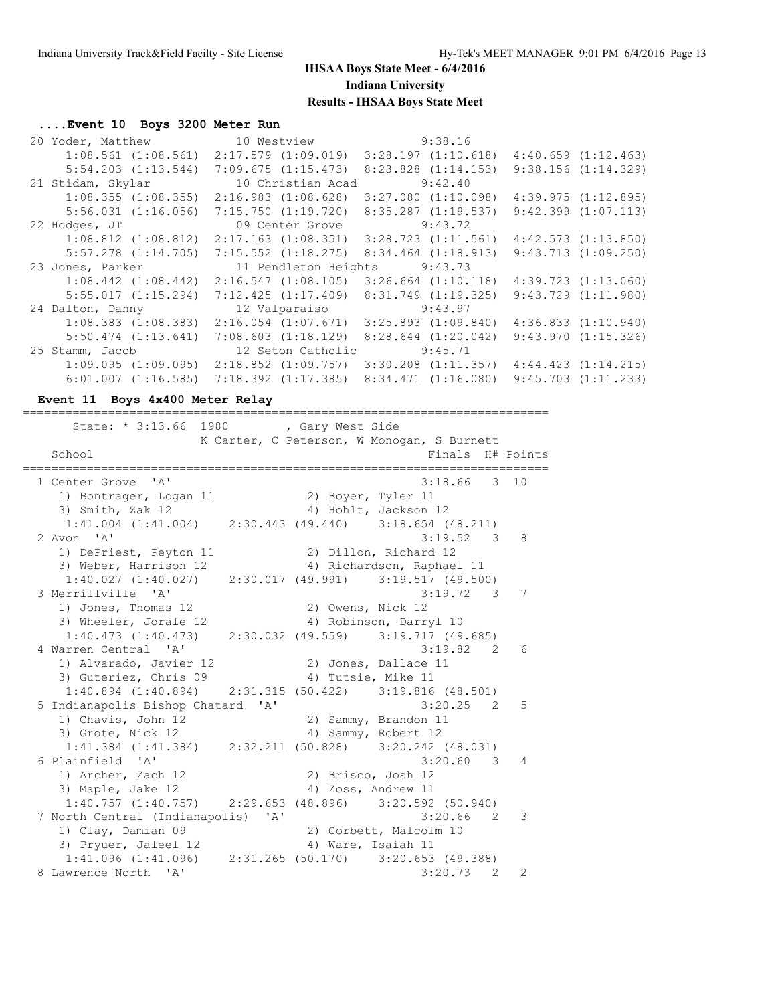## **....Event 10 Boys 3200 Meter Run**

| 20 Yoder, Matthew       | 10 Westview                                     | 9:38.16                 |                         |
|-------------------------|-------------------------------------------------|-------------------------|-------------------------|
| $1:08.561$ $(1:08.561)$ | $2:17.579$ $(1:09.019)$                         | 3:28.197(1:10.618)      | $4:40.659$ $(1:12.463)$ |
| $5:54.203$ $(1:13.544)$ | 7:09.675(1:15.473)                              | $8:23.828$ $(1:14.153)$ | 9:38.156(1:14.329)      |
| 21 Stidam, Skylar       | 10 Christian Acad                               | 9:42.40                 |                         |
| $1:08.355$ $(1:08.355)$ | 2:16.983(1:08.628)                              | $3:27.080$ $(1:10.098)$ | $4:39.975$ $(1:12.895)$ |
| $5:56.031$ $(1:16.056)$ | $7:15.750$ $(1:19.720)$                         | $8:35.287$ $(1:19.537)$ | $9:42.399$ $(1:07.113)$ |
| 22 Hodges, JT           | 09 Center Grove                                 | 9:43.72                 |                         |
| $1:08.812$ $(1:08.812)$ | $2:17.163$ $(1:08.351)$ $3:28.723$ $(1:11.561)$ |                         | $4:42.573$ $(1:13.850)$ |
| $5:57.278$ $(1:14.705)$ | $7:15.552$ $(1:18.275)$                         | $8:34.464$ $(1:18.913)$ | $9:43.713$ $(1:09.250)$ |
|                         | 11 Pendleton Heights 9:43.73                    |                         |                         |
| 23 Jones, Parker        |                                                 |                         |                         |
| $1:08.442$ $(1:08.442)$ | 2:16.547(1:08.105)                              | $3:26.664$ $(1:10.118)$ | $4:39.723$ $(1:13.060)$ |
| 5:55.017(1:15.294)      | 7:12.425(1:17.409)                              | $8:31.749$ $(1:19.325)$ | $9:43.729$ $(1:11.980)$ |
| 24 Dalton, Danny        | 12 Valparaiso                                   | 9:43.97                 |                         |
| $1:08.383$ $(1:08.383)$ | $2:16.054$ $(1:07.671)$ $3:25.893$ $(1:09.840)$ |                         | 4:36.833(1:10.940)      |
| $5:50.474$ $(1:13.641)$ | $7:08.603$ $(1:18.129)$                         | $8:28.644$ $(1:20.042)$ | $9:43.970$ $(1:15.326)$ |
| 25 Stamm, Jacob         | 12 Seton Catholic                               | 9:45.71                 |                         |
|                         | $1:09.095$ $(1:09.095)$ $2:18.852$ $(1:09.757)$ | $3:30.208$ $(1:11.357)$ | 4:44.423(1:14.215)      |

### **Event 11 Boys 4x400 Meter Relay**

| State: * 3:13.66 1980 , Gary West Side                              |                      |                                            |   |                |
|---------------------------------------------------------------------|----------------------|--------------------------------------------|---|----------------|
|                                                                     |                      | K Carter, C Peterson, W Monogan, S Burnett |   |                |
| School                                                              |                      | Finals H# Points                           |   |                |
| 1 Center Grove 'A'                                                  |                      | $3:18.66$ 3 10                             |   |                |
| 1) Bontrager, Logan 11                                              | 2) Boyer, Tyler 11   |                                            |   |                |
| 3) Smith, Zak 12                                                    |                      | 4) Hohlt, Jackson 12                       |   |                |
| $1:41.004$ $(1:41.004)$ $2:30.443$ $(49.440)$ $3:18.654$ $(48.211)$ |                      |                                            |   |                |
| 2 Avon 'A'                                                          |                      | 3:19.52 3 8                                |   |                |
| 1) DePriest, Peyton 11                                              |                      | 2) Dillon, Richard 12                      |   |                |
| 3) Weber, Harrison 12                                               |                      | 4) Richardson, Raphael 11                  |   |                |
| $1:40.027$ (1:40.027) 2:30.017 (49.991) 3:19.517 (49.500)           |                      |                                            |   |                |
| 3 Merrillville 'A'                                                  |                      | $3:19.72$ 3 7                              |   |                |
| 1) Jones, Thomas 12                                                 | 2) Owens, Nick 12    |                                            |   |                |
| 3) Wheeler, Jorale 12                                               |                      | 4) Robinson, Darryl 10                     |   |                |
| $1:40.473$ $(1:40.473)$ $2:30.032$ $(49.559)$ $3:19.717$ $(49.685)$ |                      |                                            |   |                |
| 4 Warren Central 'A'                                                |                      | 3:19.82 2                                  |   | 6              |
| 1) Alvarado, Javier 12                                              | 2) Jones, Dallace 11 |                                            |   |                |
| 3) Guteriez, Chris 09                                               | 4) Tutsie, Mike 11   |                                            |   |                |
| $1:40.894$ (1:40.894) 2:31.315 (50.422) 3:19.816 (48.501)           |                      |                                            |   |                |
| 5 Indianapolis Bishop Chatard 'A'                                   |                      | $3:20.25$ 2                                |   | $5^{\circ}$    |
| 1) Chavis, John 12                                                  |                      | 2) Sammy, Brandon 11                       |   |                |
| 3) Grote, Nick 12                                                   |                      | 4) Sammy, Robert 12                        |   |                |
| $1:41.384$ (1:41.384) $2:32.211$ (50.828) $3:20.242$ (48.031)       |                      |                                            |   |                |
| 6 Plainfield 'A'                                                    |                      | $3:20.60$ 3                                |   | $\overline{4}$ |
| 1) Archer, Zach 12                                                  | 2) Brisco, Josh 12   |                                            |   |                |
| 3) Maple, Jake 12                                                   | 4) Zoss, Andrew 11   |                                            |   |                |
| $1:40.757$ (1:40.757) $2:29.653$ (48.896) $3:20.592$ (50.940)       |                      |                                            |   |                |
| 7 North Central (Indianapolis) 'A'                                  |                      | $3:20.66$ 2                                |   | 3              |
| 1) Clay, Damian 09                                                  |                      | 2) Corbett, Malcolm 10                     |   |                |
| 3) Pryuer, Jaleel 12                                                |                      | 4) Ware, Isaiah 11                         |   |                |
| $1:41.096$ (1:41.096) $2:31.265$ (50.170) $3:20.653$ (49.388)       |                      |                                            |   |                |
| 8 Lawrence North 'A'                                                |                      | 3:20.73                                    | 2 | $\overline{2}$ |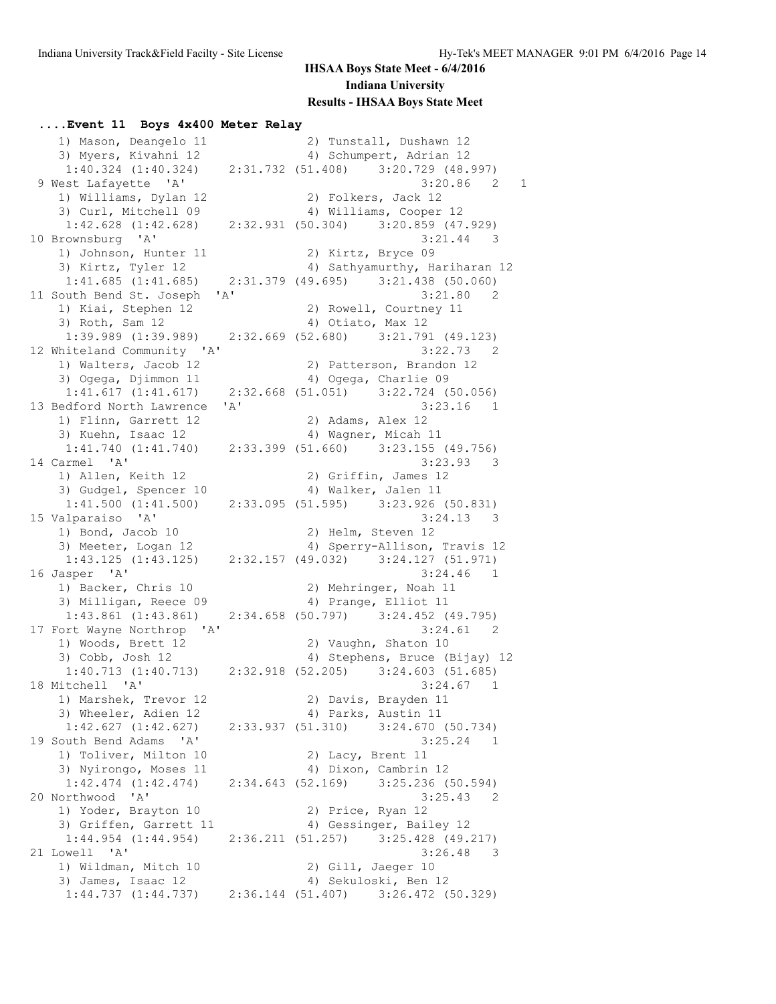#### **....Event 11 Boys 4x400 Meter Relay**

1) Mason, Deangelo 11 2) Tunstall, Dushawn 12<br>1) Mason, Deangelo 11 2) Tunstall, Dushawn 12 3) Myers, Kivahni 12 4) Schumpert, Adrian 12 1:40.324 (1:40.324) 2:31.732 (51.408) 3:20.729 (48.997) 9 West Lafayette 'A' 3:20.86 2 1 1) Williams, Dylan 12 2) Folkers, Jack 12 3) Curl, Mitchell 09 4) Williams, Cooper 12 1:42.628 (1:42.628) 2:32.931 (50.304) 3:20.859 (47.929) 10 Brownsburg 'A' 3:21.44 3<br>1) Johnson, Hunter 11 2) Kirtz, Bryce 09 1) Johnson, Hunter 11 3) Kirtz, Tyler 12 4) Sathyamurthy, Hariharan 12 1:41.685 (1:41.685) 2:31.379 (49.695) 3:21.438 (50.060) 11 South Bend St. Joseph 'A' 3:21.80 2 1) Kiai, Stephen 12 2) Rowell, Courtney 11 3) Roth, Sam 12 (4) Otiato, Max 12<br>1:39.989 (1:39.989) 2:32.669 (52.680) 3:21.791 1:39.989 (1:39.989) 2:32.669 (52.680) 3:21.791 (49.123) 12 Whiteland Community 'A' 3:22.73 2 1) Walters, Jacob 12 2) Patterson, Brandon 12 3) Ogega, Djimmon 11 (4) Ogega, Charlie 09<br>1:41.617 (1:41.617) 2:32.668 (51.051) 3:22.724 (5 2:32.668 (51.051) 3:22.724 (50.056) 13 Bedford North Lawrence 'A' 3:23.16 1 1) Flinn, Garrett 12 2) Adams, Alex 12 3) Kuehn, Isaac 12 (4) Wagner, Micah 11<br>1:41.740 (1:41.740) (2:33.399 (51.660) (3:23.155 1:41.740 (1:41.740) 2:33.399 (51.660) 3:23.155 (49.756) 14 Carmel 'A' 3:23.93 3 1) Allen, Keith 12 2) Griffin, James 12 3) Gudgel, Spencer 10 4) Walker, Jalen 11 1:41.500 (1:41.500) 2:33.095 (51.595) 3:23.926 (50.831) 15 Valparaiso 'A' 3:24.13 3 1) Bond, Jacob 10 2) Helm, Steven 12<br>3) Meeter, Logan 12 4) Sperry-Allison, 1.43 135 (1.43 136) 4) Sperry-Allison, Travis 12 1:43.125 (1:43.125) 2:32.157 (49.032) 3:24.127 (51.971) 16 Jasper 'A' 3:24.46 1 1) Backer, Chris 10 2) Mehringer, Noah 11 3) Milligan, Reece 09 4) Prange, Elliot 11 1:43.861 (1:43.861) 2:34.658 (50.797) 3:24.452 (49.795) 17 Fort Wayne Northrop 'A' 3:24.61 2 1) Woods, Brett 12 2) Vaughn, Shaton 10 3) Cobb, Josh 12 4) Stephens, Bruce (Bijay) 12 1:40.713 (1:40.713) 2:32.918 (52.205) 3:24.603 (51.685) 18 Mitchell 'A' 3:24.67 1 1) Marshek, Trevor 12 2) Davis, Brayden 11 3) Wheeler, Adien 12 4) Parks, Austin 11 1:42.627 (1:42.627) 2:33.937 (51.310) 3:24.670 (50.734) 19 South Bend Adams 'A' 3:25.24 1 1) Toliver, Milton 10 2) Lacy, Brent 11 3) Nyirongo, Moses 11 4) Dixon, Cambrin 12 1:42.474 (1:42.474) 2:34.643 (52.169) 3:25.236 (50.594) 20 Northwood 'A' 3:25.43 2 1) Yoder, Brayton 10 2) Price, Ryan 12 3) Griffen, Garrett 11 4) Gessinger, Bailey 12 1:44.954 (1:44.954) 2:36.211 (51.257) 3:25.428 (49.217) 21 Lowell 'A' 3:26.48 3 1) Wildman, Mitch 10 2) Gill, Jaeger 10 3) James, Isaac 12 4) Sekuloski, Ben 12 1:44.737 (1:44.737) 2:36.144 (51.407) 3:26.472 (50.329)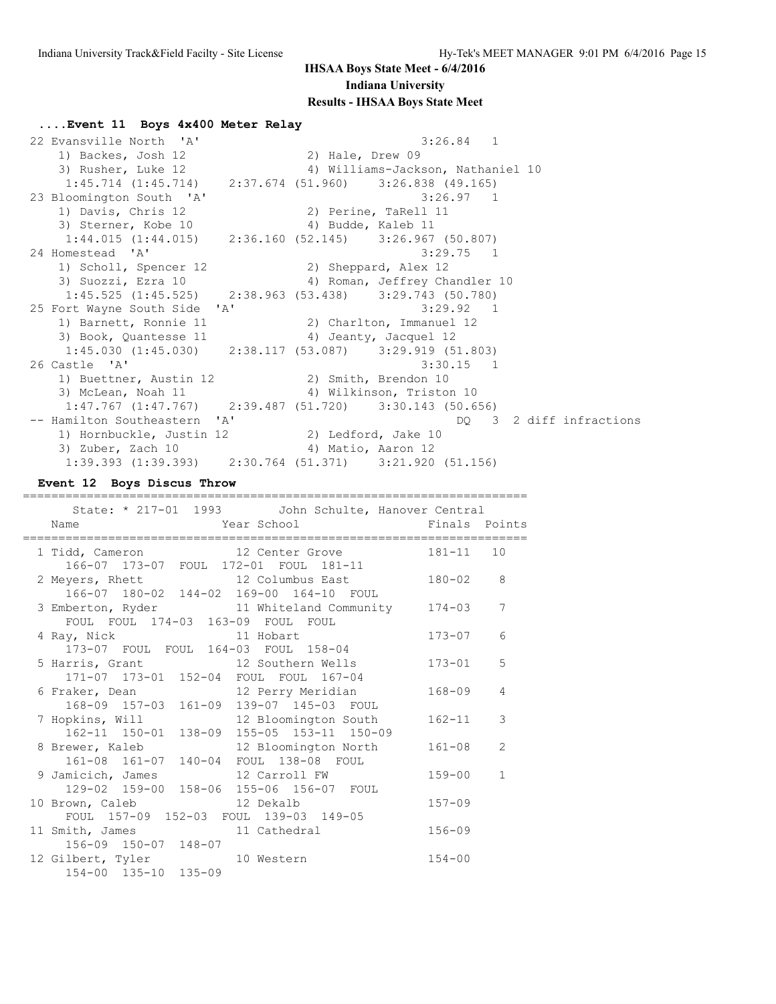#### **....Event 11 Boys 4x400 Meter Relay**

 22 Evansville North 'A' 3:26.84 1 1) Backes, Josh 12 3) Rusher, Luke 12 4) Williams-Jackson, Nathaniel 10 1:45.714 (1:45.714) 2:37.674 (51.960) 3:26.838 (49.165) 23 Bloomington South 'A' 3:26.97 1 1) Davis, Chris 12 2) Perine, TaRell 11 3) Sterner, Kobe 10 4) Budde, Kaleb 11 1:44.015 (1:44.015) 2:36.160 (52.145) 3:26.967 (50.807)<br>24 Homestead 'A' 3:29.75 1 24 Homestead 'A' 3:29.75 1 1) Scholl, Spencer 12 2) Sheppard, Alex 12 3) Suozzi, Ezra 10 4) Roman, Jeffrey Chandler 10 1:45.525 (1:45.525) 2:38.963 (53.438) 3:29.743 (50.780) 25 Fort Wayne South Side 'A' 3:29.92 1 1) Barnett, Ronnie 11 2) Charlton, Immanuel 12 3) Book, Quantesse 11 4) Jeanty, Jacquel 12 1:45.030 (1:45.030) 2:38.117 (53.087) 3:29.919 (51.803) 26 Castle 'A' 3:30.15 1 1) Buettner, Austin 12 (2) Smith, Brendon 10 3) McLean, Noah 11 4) Wilkinson, Triston 10 1:47.767 (1:47.767) 2:39.487 (51.720) 3:30.143 (50.656)<br>-- Hamilton Southeastern 'A' DQ 3 -- Hamilton Southeastern 'A' DQ 3 2 diff infractions 1) Hornbuckle, Justin 12 2) Ledford, Jake 10 3) Zuber, Zach 10 4) Matio, Aaron 12 1:39.393 (1:39.393) 2:30.764 (51.371) 3:21.920 (51.156)

#### **Event 12 Boys Discus Throw**

| State: * 217-01 1993 John Schulte, Hanover Central<br>Year School <a> Finals Points<br/>Name</a> |            |                |
|--------------------------------------------------------------------------------------------------|------------|----------------|
| 1 Tidd, Cameron 12 Center Grove 181-11 10<br>166-07 173-07 FOUL 172-01 FOUL 181-11               |            |                |
| 2 Meyers, Rhett 12 Columbus East<br>166-07 180-02 144-02 169-00 164-10 FOUL                      | $180 - 02$ | 8              |
| 3 Emberton, Ryder 11 Whiteland Community 174-03<br>FOUL FOUL 174-03 163-09 FOUL FOUL             |            | 7              |
| 4 Ray, Nick 11 Hobart<br>173-07 FOUL FOUL 164-03 FOUL 158-04                                     | $173 - 07$ | 6              |
| 5 Harris, Grant 12 Southern Wells<br>171-07 173-01 152-04 FOUL FOUL 167-04                       | $173 - 01$ | 5              |
| 6 Fraker, Dean 12 Perry Meridian<br>168-09 157-03 161-09 139-07 145-03 FOUL                      | $168 - 09$ | $\overline{4}$ |
| 7 Hopkins, Will 32 Bloomington South<br>162-11 150-01 138-09 155-05 153-11 150-09                | $162 - 11$ | 3              |
| 8 Brewer, Kaleb 12 Bloomington North<br>161-08 161-07 140-04 FOUL 138-08 FOUL                    | $161 - 08$ | $\mathcal{L}$  |
| 9 Jamicich, James 12 Carroll FW<br>129-02 159-00 158-06 155-06 156-07 FOUL                       | $159 - 00$ | $\mathbf{1}$   |
| 10 Brown, Caleb 12 Dekalb<br>FOUL 157-09 152-03 FOUL 139-03 149-05                               | $157 - 09$ |                |
| 11 Smith, James 11 Cathedral<br>156-09 150-07 148-07                                             | $156 - 09$ |                |
| 12 Gilbert, Tyler 10 Western<br>154-00 135-10 135-09                                             | $154 - 00$ |                |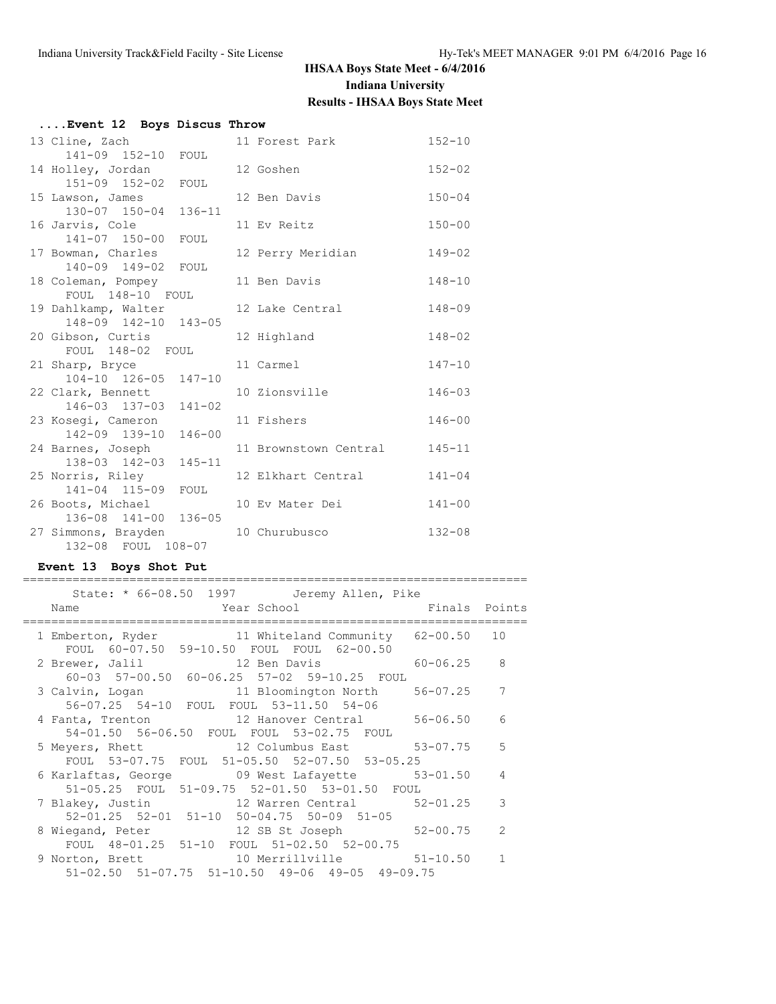| Event 12 Boys Discus Throw                |                       |            |
|-------------------------------------------|-----------------------|------------|
| 13 Cline, Zach                            | 11 Forest Park        | $152 - 10$ |
| 141-09 152-10 FOUL                        |                       |            |
| 14 Holley, Jordan                         | 12 Goshen             | $152 - 02$ |
| 151-09 152-02 FOUL                        |                       |            |
| 15 Lawson, James                          | 12 Ben Davis          | $150 - 04$ |
| 130-07 150-04 136-11                      | 11 Ev Reitz           | $150 - 00$ |
| 16 Jarvis, Cole<br>141-07 150-00 FOUL     |                       |            |
| 17 Bowman, Charles                        | 12 Perry Meridian     | $149 - 02$ |
| 140-09 149-02 FOUL                        |                       |            |
| 18 Coleman, Pompey                        | 11 Ben Davis          | $148 - 10$ |
| FOUL 148-10 FOUL                          |                       |            |
| 19 Dahlkamp, Walter                       | 12 Lake Central       | $148 - 09$ |
| 148-09 142-10 143-05                      |                       |            |
| 20 Gibson, Curtis                         | 12 Highland           | $148 - 02$ |
| FOUL 148-02 FOUL                          |                       |            |
| 21 Sharp, Bryce                           | 11 Carmel             | $147 - 10$ |
| 104-10 126-05 147-10                      | 10 Zionsville         | $146 - 03$ |
| 22 Clark, Bennett<br>146-03 137-03 141-02 |                       |            |
| 23 Kosegi, Cameron                        | 11 Fishers            | $146 - 00$ |
| 142-09 139-10<br>$146 - 00$               |                       |            |
| 24 Barnes, Joseph                         | 11 Brownstown Central | $145 - 11$ |
| 138-03 142-03 145-11                      |                       |            |
| 25 Norris, Riley                          | 12 Elkhart Central    | $141 - 04$ |
| 141-04 115-09 FOUL                        |                       |            |
| 26 Boots, Michael                         | 10 Ev Mater Dei       | $141 - 00$ |
| 136-08 141-00 136-05                      |                       |            |
| 27 Simmons, Brayden                       | 10 Churubusco         | $132 - 08$ |
| 132-08 FOUL 108-07                        |                       |            |

### **Event 13 Boys Shot Put**

| State: * 66-08.50 1997 Jeremy Allen, Pike<br>Year School<br>Finals Points<br>Name<br>1 Emberton, Ryder 11 Whiteland Community 62-00.50<br>10<br>FOUL 60-07.50 59-10.50 FOUL FOUL 62-00.50<br>$60 - 06.25$ 8<br>2 Brewer, Jalil 12 Ben Davis<br>60-03 57-00.50 60-06.25 57-02 59-10.25 FOUL<br>$56 - 07.25$<br>7<br>3 Calvin, Logan 11 Bloomington North<br>56-07.25 54-10 FOUL FOUL 53-11.50 54-06<br>4 Fanta, Trenton 12 Hanover Central 56-06.50<br>6<br>54-01.50 56-06.50 FOUL FOUL 53-02.75 FOUL<br>5 Meyers, Rhett 12 Columbus East 53-07.75 5<br>FOUL 53-07.75 FOUL 51-05.50 52-07.50 53-05.25<br>6 Karlaftas, George 69 West Lafayette 53-01.50<br>$\overline{4}$<br>51-05.25 FOUL 51-09.75 52-01.50 53-01.50 FOUL<br>7 Blakey, Justin 12 Warren Central 52-01.25<br>3<br>52-01.25 52-01 51-10 50-04.75 50-09 51-05<br>$\mathcal{L}$<br>8 Wiegand, Peter 12 SB St Joseph 52-00.75<br>FOUL 48-01.25 51-10 FOUL 51-02.50 52-00.75<br>9 Norton, Brett 10 Merrillville 51-10.50<br>$\mathbf{1}$<br>$51-02.50$ $51-07.75$ $51-10.50$ $49-06$ $49-05$ $49-09.75$ |  |  |  |
|-------------------------------------------------------------------------------------------------------------------------------------------------------------------------------------------------------------------------------------------------------------------------------------------------------------------------------------------------------------------------------------------------------------------------------------------------------------------------------------------------------------------------------------------------------------------------------------------------------------------------------------------------------------------------------------------------------------------------------------------------------------------------------------------------------------------------------------------------------------------------------------------------------------------------------------------------------------------------------------------------------------------------------------------------------------------|--|--|--|
|                                                                                                                                                                                                                                                                                                                                                                                                                                                                                                                                                                                                                                                                                                                                                                                                                                                                                                                                                                                                                                                                   |  |  |  |
|                                                                                                                                                                                                                                                                                                                                                                                                                                                                                                                                                                                                                                                                                                                                                                                                                                                                                                                                                                                                                                                                   |  |  |  |
|                                                                                                                                                                                                                                                                                                                                                                                                                                                                                                                                                                                                                                                                                                                                                                                                                                                                                                                                                                                                                                                                   |  |  |  |
|                                                                                                                                                                                                                                                                                                                                                                                                                                                                                                                                                                                                                                                                                                                                                                                                                                                                                                                                                                                                                                                                   |  |  |  |
|                                                                                                                                                                                                                                                                                                                                                                                                                                                                                                                                                                                                                                                                                                                                                                                                                                                                                                                                                                                                                                                                   |  |  |  |
|                                                                                                                                                                                                                                                                                                                                                                                                                                                                                                                                                                                                                                                                                                                                                                                                                                                                                                                                                                                                                                                                   |  |  |  |
|                                                                                                                                                                                                                                                                                                                                                                                                                                                                                                                                                                                                                                                                                                                                                                                                                                                                                                                                                                                                                                                                   |  |  |  |
|                                                                                                                                                                                                                                                                                                                                                                                                                                                                                                                                                                                                                                                                                                                                                                                                                                                                                                                                                                                                                                                                   |  |  |  |
|                                                                                                                                                                                                                                                                                                                                                                                                                                                                                                                                                                                                                                                                                                                                                                                                                                                                                                                                                                                                                                                                   |  |  |  |
|                                                                                                                                                                                                                                                                                                                                                                                                                                                                                                                                                                                                                                                                                                                                                                                                                                                                                                                                                                                                                                                                   |  |  |  |
|                                                                                                                                                                                                                                                                                                                                                                                                                                                                                                                                                                                                                                                                                                                                                                                                                                                                                                                                                                                                                                                                   |  |  |  |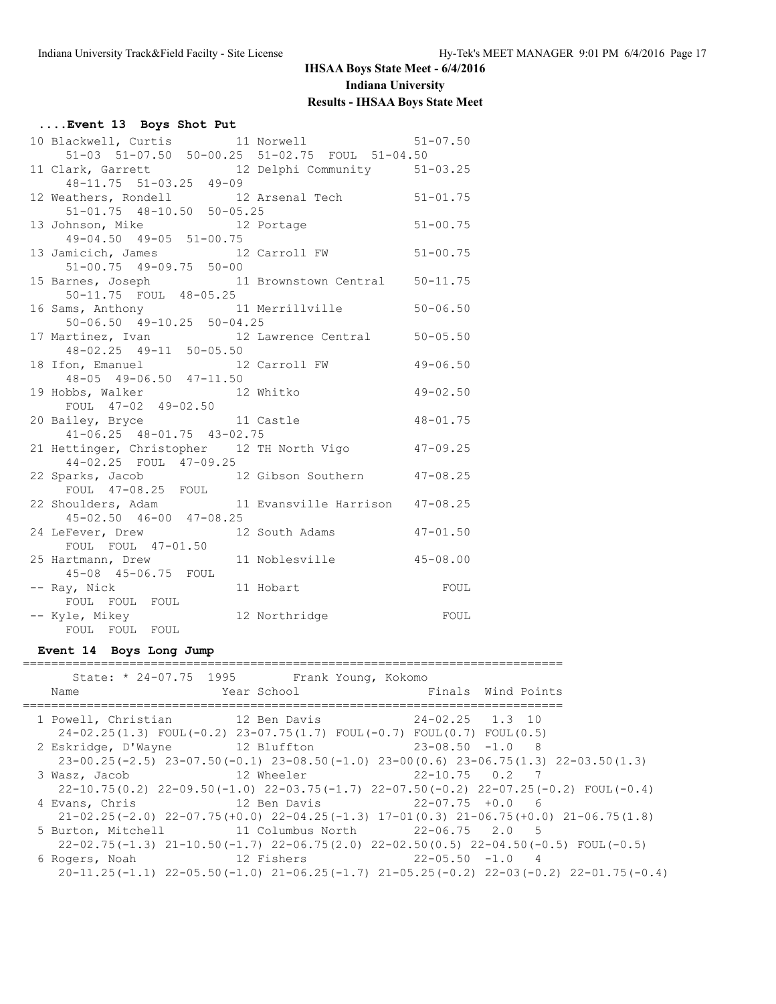| Event 13 Boys Shot Put                                                                |                         |              |
|---------------------------------------------------------------------------------------|-------------------------|--------------|
| 10 Blackwell, Curtis 11 Norwell 51-07.50                                              |                         |              |
| 51-03 51-07.50 50-00.25 51-02.75 FOUL 51-04.50                                        |                         |              |
| 11 Clark, Garrett 12 Delphi Community 51-03.25<br>48-11.75 51-03.25 49-09             |                         |              |
|                                                                                       |                         |              |
| 12 Weathers, Rondell 12 Arsenal Tech 51-01.75<br>51-01.75 48-10.50 50-05.25           |                         |              |
|                                                                                       |                         |              |
| 13 Johnson, Mike 12 Portage 51-00.75                                                  |                         |              |
| $49 - 04.50$ $49 - 05$ $51 - 00.75$                                                   |                         |              |
| 13 Jamicich, James 12 Carroll FW 51-00.75<br>51-00.75 49-09.75 50-00                  |                         |              |
|                                                                                       |                         |              |
| 15 Barnes, Joseph 11 Brownstown Central 50-11.75<br>50-11.75 FOUL 48-05.25            |                         |              |
|                                                                                       |                         |              |
| 16 Sams, Anthony 11 Merrillville<br>50-06.50 49-10.25 50-04.25                        |                         | $50 - 06.50$ |
|                                                                                       |                         |              |
| 17 Martinez, Ivan 12 Lawrence Central 50-05.50<br>48-02.25 49-11 50-05.50             |                         |              |
|                                                                                       |                         | $49 - 06.50$ |
| 18 Ifon, Emanuel 12 Carroll FW<br>48-05 49-06.50 47-11.50                             |                         |              |
| 19 Hobbs, Walker 12 Whitko                                                            | $49 - 02.50$            |              |
| FOUL 47-02 49-02.50                                                                   |                         |              |
| 20 Bailey, Bryce 11 Castle 48-01.75<br>41-06.25 48-01.75 43-02.75                     |                         |              |
|                                                                                       |                         |              |
| 21 Hettinger, Christopher 12 TH North Vigo 47-09.25                                   |                         |              |
| 44-02.25 FOUL 47-09.25                                                                |                         |              |
|                                                                                       |                         |              |
| 22 Sparks, Jacob 12 Gibson Southern 47-08.25<br>FOUL 47-08.25 FOUL                    |                         |              |
| 22 Shoulders, Adam 11 Evansville Harrison $47-08.25$<br>$45-02.50$ $46-00$ $47-08.25$ |                         |              |
|                                                                                       |                         |              |
| 24 LeFever, Drew 12 South Adams 47-01.50                                              |                         |              |
| FOUL FOUL 47-01.50                                                                    |                         |              |
| 25 Hartmann, Drew<br>45-08 45-06.75 FOUL                                              | 11 Noblesville 45-08.00 |              |
|                                                                                       |                         |              |
| -- Ray, Nick<br>FOUL FOUL FOUL                                                        | 11 Hobart               | FOUL         |
|                                                                                       |                         |              |
| -- Kyle, Mikey<br>FOUL FOUL FOUL                                                      | FOUL<br>12 Northridge   |              |
|                                                                                       |                         |              |

### **Event 14 Boys Long Jump**

| Name                                                                                  | State: * 24-07.75 1995 Frank Young, Kokomo<br>Year School                 | Finals Wind Points |                                                                                                    |  |
|---------------------------------------------------------------------------------------|---------------------------------------------------------------------------|--------------------|----------------------------------------------------------------------------------------------------|--|
| 1 Powell, Christian 12 Ben Davis                                                      | $24-02.25(1.3)$ FOUL(-0.2) $23-07.75(1.7)$ FOUL(-0.7) FOUL(0.7) FOUL(0.5) | $24-02.25$ 1.3 10  |                                                                                                    |  |
| 2 Eskridge, D'Wayne 12 Bluffton 12 23-08.50 -1.0 8                                    |                                                                           |                    | $23-00.25(-2.5)$ $23-07.50(-0.1)$ $23-08.50(-1.0)$ $23-00(0.6)$ $23-06.75(1.3)$ $22-03.50(1.3)$    |  |
| 3 Wasz, Jacob               12 Wheeler                 22-10.75   0.2   7             |                                                                           |                    | $22-10.75(0.2)$ $22-09.50(-1.0)$ $22-03.75(-1.7)$ $22-07.50(-0.2)$ $22-07.25(-0.2)$ FOUL(-0.4)     |  |
| 4 Evans, Chris                       12 Ben Davis                   22-07.75 +0.0   6 |                                                                           |                    | $21-02.25(-2.0)$ $22-07.75(+0.0)$ $22-04.25(-1.3)$ $17-01(0.3)$ $21-06.75(+0.0)$ $21-06.75(1.8)$   |  |
| 5 Burton, Mitchell 11 Columbus North 22-06.75 2.0 5                                   |                                                                           |                    | $22-02.75(-1.3)$ $21-10.50(-1.7)$ $22-06.75(2.0)$ $22-02.50(0.5)$ $22-04.50(-0.5)$ FOUL(-0.5)      |  |
| 6 Rogers, Noah 12 Fishers 22-05.50 -1.0 4                                             |                                                                           |                    | $20-11.25(-1.1)$ $22-05.50(-1.0)$ $21-06.25(-1.7)$ $21-05.25(-0.2)$ $22-03(-0.2)$ $22-01.75(-0.4)$ |  |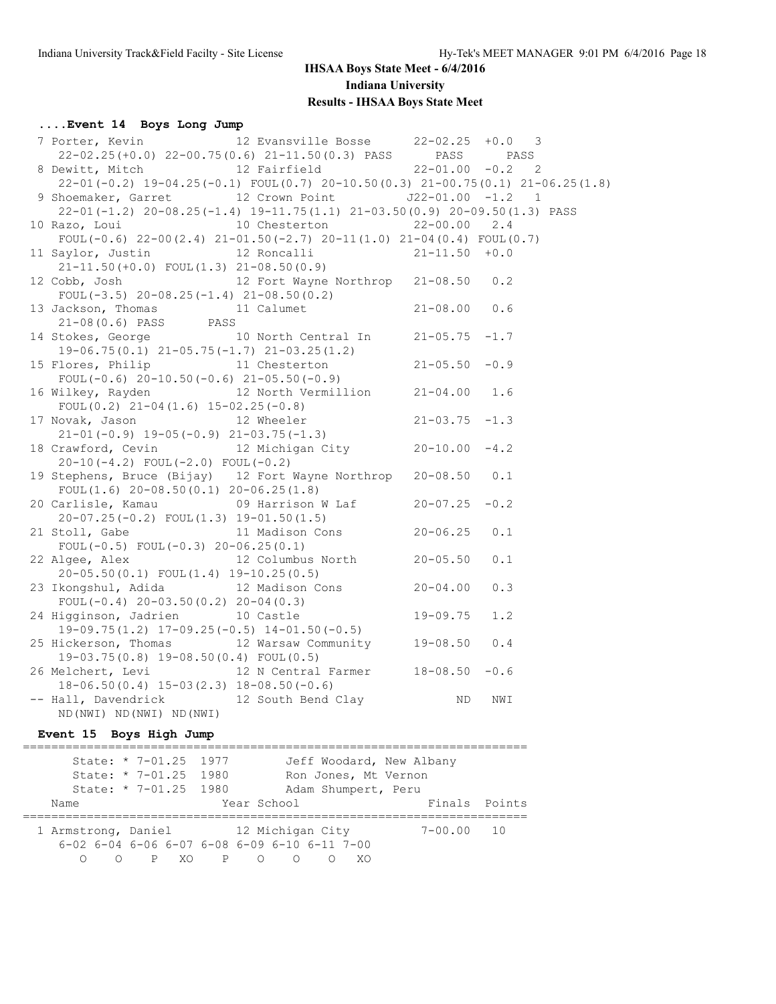## **....Event 14 Boys Long Jump**

| 7 Porter, Kevin 12 Evansville Bosse 22-02.25 +0.0 3                                                                         |                            |                    |     |  |  |
|-----------------------------------------------------------------------------------------------------------------------------|----------------------------|--------------------|-----|--|--|
| 22-02.25(+0.0) 22-00.75(0.6) 21-11.50(0.3) PASS PASS PASS PASS                                                              |                            |                    |     |  |  |
| 8 Dewitt, Mitch 12 Fairfield 22-01.00 -0.2 2                                                                                |                            |                    |     |  |  |
| $22-01(-0.2)$ 19-04.25(-0.1) FOUL(0.7) 20-10.50(0.3) 21-00.75(0.1) 21-06.25(1.8)                                            |                            |                    |     |  |  |
| 9 Shoemaker, Garret 12 Crown Point J22-01.00 -1.2 1                                                                         |                            |                    |     |  |  |
| 22-01(-1.2) 20-08.25(-1.4) 19-11.75(1.1) 21-03.50(0.9) 20-09.50(1.3) PASS                                                   |                            |                    |     |  |  |
| 10 Razo, Loui                                                                                                               | 10 Chesterton 22-00.00 2.4 |                    |     |  |  |
| FOUL $(-0.6)$ 22-00 $(2.4)$ 21-01.50 $(-2.7)$ 20-11 $(1.0)$ 21-04 $(0.4)$ FOUL $(0.7)$                                      |                            |                    |     |  |  |
| 11 Saylor, Justin 12 Roncalli 21-11.50 +0.0<br>21-11.50 (+0.0) FOUL(1.3) 21-08.50 (0.9)                                     |                            |                    |     |  |  |
|                                                                                                                             |                            |                    |     |  |  |
| 12 Cobb, Josh 12 Fort Wayne Northrop 21-08.50 0.2                                                                           |                            |                    |     |  |  |
| FOUL $(-3.5)$ 20-08.25 $(-1.4)$ 21-08.50 $(0.2)$                                                                            |                            |                    |     |  |  |
|                                                                                                                             |                            |                    |     |  |  |
|                                                                                                                             |                            |                    |     |  |  |
| 13 Jackson, Thomas 11 Calumet 21-08.00 0.6<br>21-08(0.6) PASS PASS PASS 14 Stokes, George 10 North Central In 21-05.75 -1.7 |                            |                    |     |  |  |
| $19-06.75(0.1)$ $21-05.75(-1.7)$ $21-03.25(1.2)$                                                                            |                            |                    |     |  |  |
| 15 Flores, Philip 11 Chesterton                                                                                             |                            | $21 - 05.50 - 0.9$ |     |  |  |
| FOUL $(-0.6)$ 20-10.50 $(-0.6)$ 21-05.50 $(-0.9)$                                                                           |                            |                    |     |  |  |
| 16 Wilkey, Rayden 12 North Vermillion 21-04.00 1.6                                                                          |                            |                    |     |  |  |
| FOUL $(0.2)$ 21-04 $(1.6)$ 15-02.25 $(-0.8)$                                                                                |                            |                    |     |  |  |
| 17 Novak, Jason 12 Wheeler                                                                                                  |                            | $21 - 03.75 - 1.3$ |     |  |  |
| $21-01(-0.9)$ 19-05(-0.9) 21-03.75(-1.3)                                                                                    |                            |                    |     |  |  |
| 18 Crawford, Cevin 12 Michigan City 20-10.00 -4.2                                                                           |                            |                    |     |  |  |
| $20-10(-4.2)$ FOUL $(-2.0)$ FOUL $(-0.2)$                                                                                   |                            |                    |     |  |  |
| 19 Stephens, Bruce (Bijay) 12 Fort Wayne Northrop 20-08.50 0.1                                                              |                            |                    |     |  |  |
| FOUL $(1.6)$ 20-08.50 $(0.1)$ 20-06.25 $(1.8)$                                                                              |                            |                    |     |  |  |
| 20 Carlisle, Kamau $09$ Harrison W Laf $20-07.25$ -0.2                                                                      |                            |                    |     |  |  |
| $20-07.25(-0.2)$ FOUL $(1.3)$ 19-01.50 $(1.5)$                                                                              |                            |                    |     |  |  |
| 21 Stoll, Gabe 11 Madison Cons                                                                                              |                            | $20 - 06.25$ 0.1   |     |  |  |
| FOUL $(-0.5)$ FOUL $(-0.3)$ 20-06.25 $(0.1)$                                                                                |                            |                    |     |  |  |
| 22 Algee, Alex 12 Columbus North 20-05.50                                                                                   |                            |                    | 0.1 |  |  |
| $20-05.50(0.1)$ FOUL $(1.4)$ 19-10.25 $(0.5)$                                                                               |                            |                    |     |  |  |
| 23 Ikongshul, Adida (12 Madison Cons (20-04.00)                                                                             |                            |                    | 0.3 |  |  |
| FOUL $(-0.4)$ 20-03.50 $(0.2)$ 20-04 $(0.3)$                                                                                |                            |                    |     |  |  |
| 24 Higginson, Jadrien 10 Castle                                                                                             |                            | $19 - 09.75$       | 1.2 |  |  |
| $19-09.75(1.2)$ $17-09.25(-0.5)$ $14-01.50(-0.5)$                                                                           |                            |                    |     |  |  |
| 25 Hickerson, Thomas 12 Warsaw Community 19-08.50 0.4                                                                       |                            |                    |     |  |  |
| 19-03.75(0.8) 19-08.50(0.4) FOUL(0.5)                                                                                       |                            |                    |     |  |  |
| 26 Melchert, Levi 12 N Central Farmer 18-08.50 -0.6                                                                         |                            |                    |     |  |  |
| $18-06.50(0.4)$ $15-03(2.3)$ $18-08.50(-0.6)$                                                                               |                            |                    |     |  |  |
| -- Hall, Davendrick 12 South Bend Clay                                                                                      |                            | ND                 | NWI |  |  |
| ND (NWI) ND (NWI) ND (NWI)                                                                                                  |                            |                    |     |  |  |

### **Event 15 Boys High Jump**

|      | State: * 7-01.25 1977 | Jeff Woodard, New Albany                                       |                |  |
|------|-----------------------|----------------------------------------------------------------|----------------|--|
|      | State: * 7-01.25 1980 | Ron Jones, Mt Vernon                                           |                |  |
|      | State: * 7-01.25 1980 | Adam Shumpert, Peru                                            |                |  |
| Name |                       | Year School                                                    | Finals Points  |  |
|      |                       | 1 Armstrong, Daniel 12 Michigan City                           | $7 - 00.00$ 10 |  |
|      |                       | $6-02$ $6-04$ $6-06$ $6-07$ $6-08$ $6-09$ $6-10$ $6-11$ $7-00$ |                |  |
|      | PXOP OO               | - XO                                                           |                |  |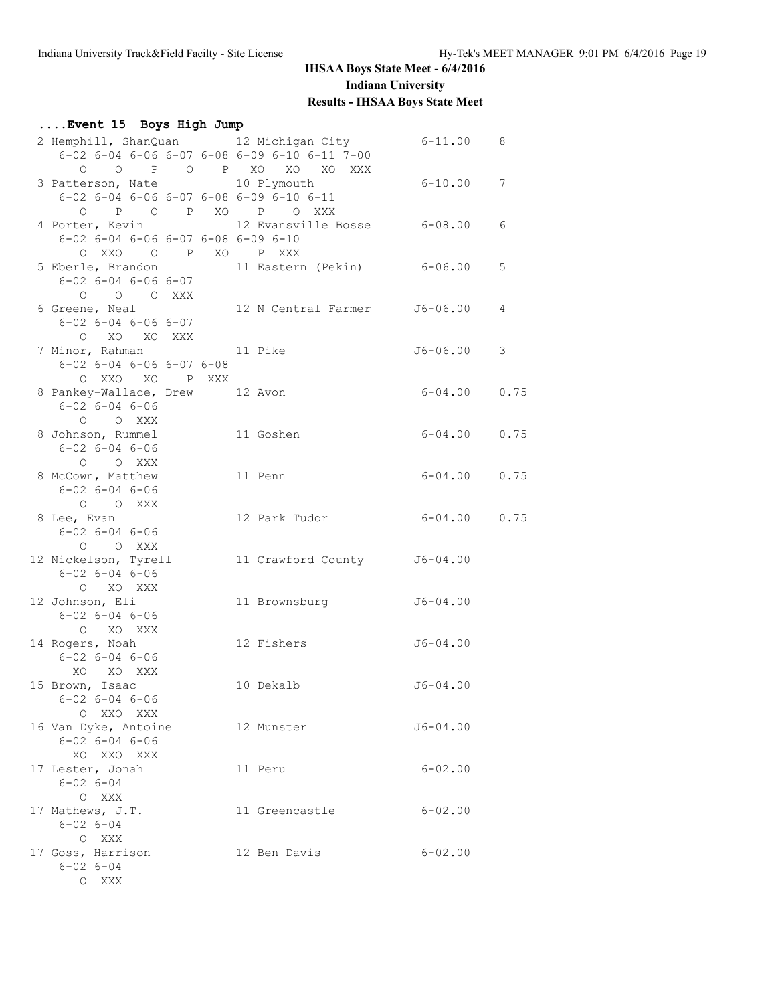| Event 15 Boys High Jump                                        |                              |                  |   |
|----------------------------------------------------------------|------------------------------|------------------|---|
|                                                                |                              |                  |   |
| 2 Hemphill, ShanQuan 12 Michigan City 6-11.00 8                |                              |                  |   |
| $6-02$ $6-04$ $6-06$ $6-07$ $6-08$ $6-09$ $6-10$ $6-11$ $7-00$ |                              |                  |   |
|                                                                | 0 0 P O P XO XO XO XXX       |                  |   |
| 3 Patterson, Nate 10 Plymouth 6-10.00 7                        |                              |                  |   |
| 6-02 6-04 6-06 6-07 6-08 6-09 6-10 6-11                        |                              |                  |   |
| O P O P XO P O XXX                                             |                              |                  |   |
| 4 Porter, Kevin 12 Evansville Bosse 6-08.00                    |                              |                  | 6 |
| $6-02$ $6-04$ $6-06$ $6-07$ $6-08$ $6-09$ $6-10$               |                              |                  |   |
| OXXO O PXO PXXX                                                |                              |                  |   |
| 5 Eberle, Brandon 11 Eastern (Pekin) 6-06.00                   |                              |                  | 5 |
| $6 - 02$ $6 - 04$ $6 - 06$ $6 - 07$                            |                              |                  |   |
| $O$ $O$ $O$ $XXX$                                              |                              |                  |   |
| 6 Greene, Neal                                                 | 12 N Central Farmer J6-06.00 |                  | 4 |
| $6 - 02$ $6 - 04$ $6 - 06$ $6 - 07$                            |                              |                  |   |
| O XO XO XXX                                                    |                              |                  |   |
|                                                                |                              | J6-06.00         | 3 |
| $6 - 02$ $6 - 04$ $6 - 06$ $6 - 07$ $6 - 08$                   |                              |                  |   |
| O XXO XO P XXX                                                 |                              |                  |   |
| 8 Pankey-Wallace, Drew 12 Avon                                 |                              | $6 - 04.00$ 0.75 |   |
| $6 - 02$ $6 - 04$ $6 - 06$                                     |                              |                  |   |
| O O XXX                                                        |                              |                  |   |
| 8 Johnson, Rummel 11 Goshen                                    |                              | $6 - 04.00$ 0.75 |   |
| $6 - 02$ $6 - 04$ $6 - 06$                                     |                              |                  |   |
| O O XXX                                                        |                              |                  |   |
| 8 McCown, Matthew                                              | 11 Penn                      | $6 - 04.00$ 0.75 |   |
| $6 - 02$ $6 - 04$ $6 - 06$                                     |                              |                  |   |
| O O XXX                                                        |                              |                  |   |
| 8 Lee, Evan                                                    | 12 Park Tudor 6-04.00 0.75   |                  |   |
| 6-02 6-04 6-06                                                 |                              |                  |   |
| O O XXX                                                        |                              |                  |   |
| 12 Nickelson, Tyrell                                           | 11 Crawford County J6-04.00  |                  |   |
| $6 - 02$ $6 - 04$ $6 - 06$                                     |                              |                  |   |
| O XO XXX                                                       |                              |                  |   |
| 12 Johnson, Eli                                                | 11 Brownsburg                | $J6 - 04.00$     |   |
| $6 - 02$ $6 - 04$ $6 - 06$                                     |                              |                  |   |
| O XO XXX                                                       |                              |                  |   |
| 14 Rogers, Noah                                                | 12 Fishers                   | $J6 - 04.00$     |   |
| $6 - 02$ $6 - 04$ $6 - 06$                                     |                              |                  |   |
| XO XO XXX                                                      |                              |                  |   |
| 15 Brown, Isaac                                                | 10 Dekalb                    | $J6 - 04.00$     |   |
| $6 - 02$ $6 - 04$ $6 - 06$                                     |                              |                  |   |
| O XXO XXX                                                      |                              |                  |   |
| 16 Van Dyke, Antoine                                           | 12 Munster                   | $J6 - 04.00$     |   |
| $6 - 02$ $6 - 04$ $6 - 06$                                     |                              |                  |   |
| XO XXO XXX                                                     |                              | $6 - 02.00$      |   |
| 17 Lester, Jonah                                               | 11 Peru                      |                  |   |
| $6 - 02$ $6 - 04$                                              |                              |                  |   |
| O XXX<br>17 Mathews, J.T.                                      |                              |                  |   |
|                                                                | 11 Greencastle               | $6 - 02.00$      |   |
| $6 - 02$ $6 - 04$                                              |                              |                  |   |
| O XXX                                                          |                              |                  |   |
| 17 Goss, Harrison<br>$6 - 02$ $6 - 04$                         | 12 Ben Davis                 | $6 - 02.00$      |   |
| O XXX                                                          |                              |                  |   |
|                                                                |                              |                  |   |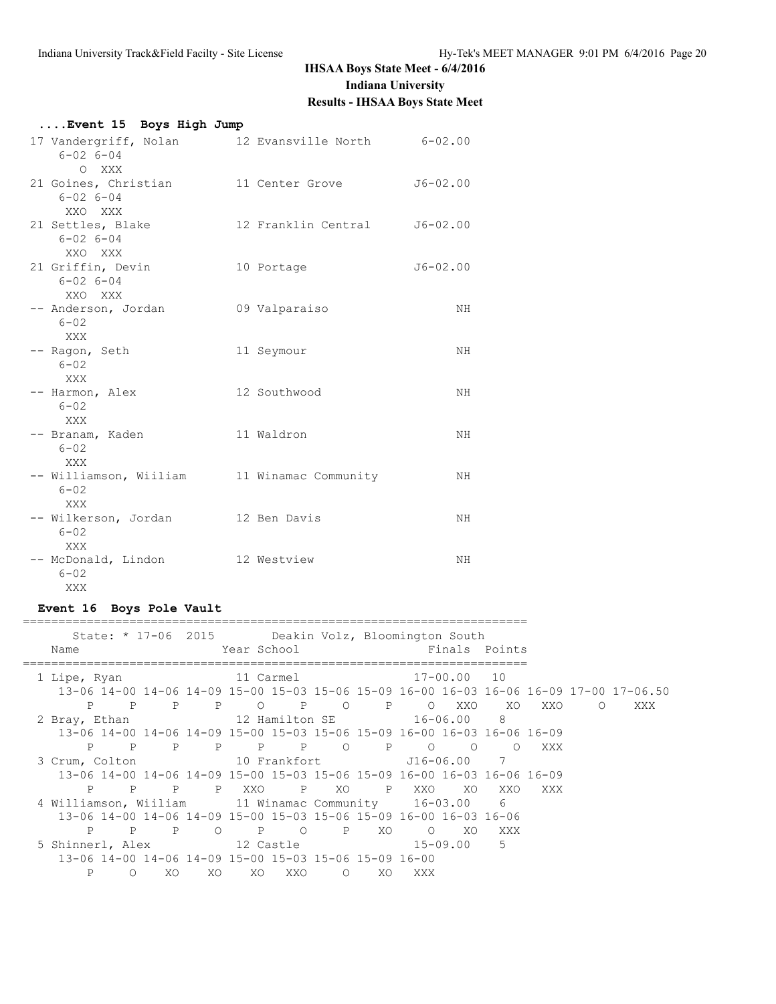| Event 15 Boys High Jump                                            |                                                   |              |
|--------------------------------------------------------------------|---------------------------------------------------|--------------|
| $6 - 02$ $6 - 04$<br>O XXX                                         | 17 Vandergriff, Nolan 12 Evansville North 6-02.00 |              |
| 21 Goines, Christian<br>$6 - 02$ $6 - 04$<br>XXO XXX               | 11 Center Grove                                   | $J6 - 02.00$ |
| 21 Settles, Blake<br>$6 - 02$ $6 - 04$<br>XXO XXX                  | 12 Franklin Central 56-02.00                      |              |
| 21 Griffin, Devin<br>$6 - 02$ $6 - 04$<br>XXO XXX                  | 10 Portage                                        | $J6 - 02.00$ |
| -- Anderson, Jordan<br>$6 - 02$<br>XXX                             | 09 Valparaiso                                     | NH           |
| -- Ragon, Seth<br>$6 - 02$<br><b>XXX</b>                           | 11 Seymour                                        | NH           |
| -- Harmon, Alex<br>$6 - 02$<br><b>XXX</b>                          | 12 Southwood                                      | NH           |
| -- Branam, Kaden<br>$6 - 02$<br>XXX                                | 11 Waldron                                        | NH.          |
| -- Williamson, Wiiliam and 11 Winamac Community<br>$6 - 02$<br>XXX |                                                   | NH           |
| -- Wilkerson, Jordan 12 Ben Davis<br>$6 - 02$<br>XXX               |                                                   | NH           |
| -- McDonald, Lindon<br>$6 - 02$<br>XXX                             | 12 Westview                                       | NH.          |

## **Event 16 Boys Pole Vault**

| State: * 17-06 2015 Deakin Volz, Bloomington South<br>Name                             |              |              |         | Year School |     |             |     |                       |          | Finals Points |     |           |     |
|----------------------------------------------------------------------------------------|--------------|--------------|---------|-------------|-----|-------------|-----|-----------------------|----------|---------------|-----|-----------|-----|
| 1 Lipe, Ryan                                                                           |              |              |         |             |     |             |     | 11 Carmel 17-00.00 10 |          |               |     |           |     |
| 13-06 14-00 14-06 14-09 15-00 15-03 15-06 15-09 16-00 16-03 16-06 16-09 17-00 17-06.50 |              |              |         |             |     |             |     |                       |          |               |     |           |     |
| P                                                                                      | P            |              |         | P P O P O   |     |             |     | P O XXO               |          | XO X          | XXO | $\circ$ 0 | XXX |
| 2 Bray, Ethan                                                                          |              |              |         |             |     |             |     |                       |          |               |     |           |     |
| 13-06 14-00 14-06 14-09 15-00 15-03 15-06 15-09 16-00 16-03 16-06 16-09                |              |              |         |             |     |             |     |                       |          |               |     |           |     |
| P                                                                                      | $\mathbb{P}$ |              |         |             |     |             |     | P P P P P O P O O     |          |               | XXX |           |     |
|                                                                                        |              |              |         |             |     |             |     |                       |          |               |     |           |     |
| 13-06 14-00 14-06 14-09 15-00 15-03 15-06 15-09 16-00 16-03 16-06 16-09                |              |              |         |             |     |             |     |                       |          |               |     |           |     |
| P                                                                                      | $\mathbf{P}$ |              |         | P P XXO     |     |             |     | P XO P XXO            | XO       | XXO           | XXX |           |     |
| 4 Williamson, Wiiliam 11 Winamac Community 16-03.00                                    |              |              |         |             |     |             |     |                       |          | 6             |     |           |     |
| 13-06 14-00 14-06 14-09 15-00 15-03 15-06 15-09 16-00 16-03 16-06                      |              |              |         |             |     |             |     |                       |          |               |     |           |     |
| P                                                                                      | $\mathbb{P}$ | $\mathbb{P}$ | $\circ$ | <b>P</b> O  |     | $\mathbb P$ | XO  | $\circ$ 0             | XO X     | XXX           |     |           |     |
|                                                                                        |              |              |         |             |     |             |     |                       | 15-09.00 | 5             |     |           |     |
| 13-06 14-00 14-06 14-09 15-00 15-03 15-06 15-09 16-00                                  |              |              |         |             |     |             |     |                       |          |               |     |           |     |
| P                                                                                      | ∩            | XO.          | XO.     | XO.         | XXO | $\Omega$    | XO. | XXX X                 |          |               |     |           |     |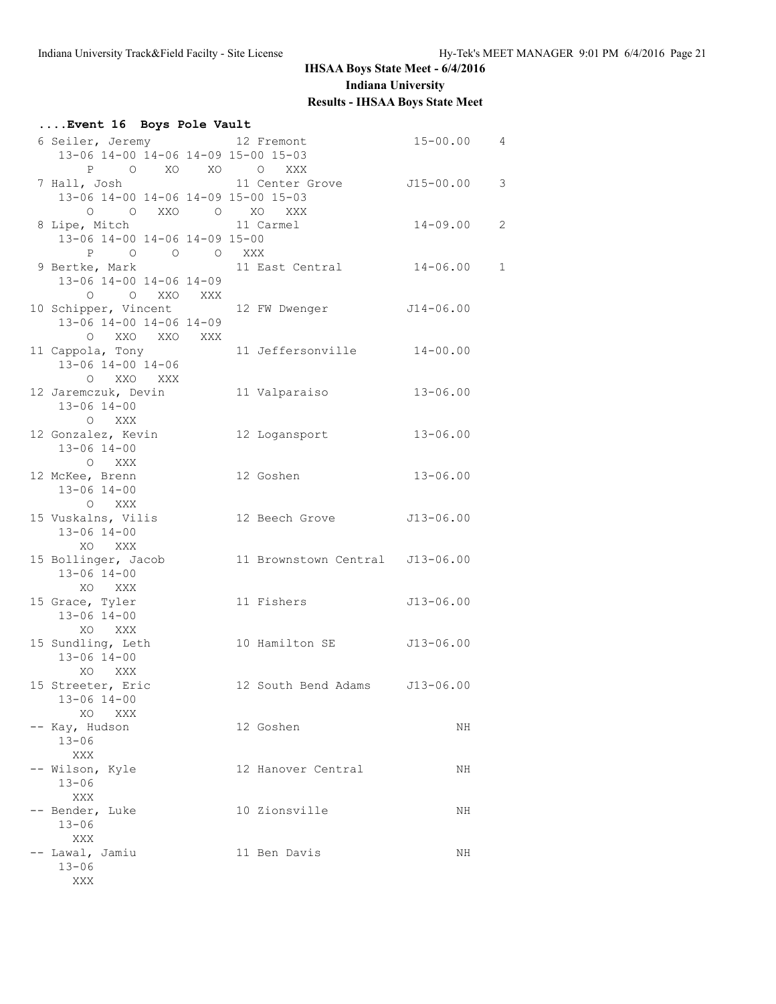#### **....Event 16 Boys Pole Vault** 6 Seiler, Jeremy 12 Fremont 15-00.00 4 13-06 14-00 14-06 14-09 15-00 15-03 P O XO XO O XXX 7 Hall, Josh 11 Center Grove J15-00.00 3 13-06 14-00 14-06 14-09 15-00 15-03 O O XXO O XO XXX 8 Lipe, Mitch 11 Carmel 14-09.00 2 13-06 14-00 14-06 14-09 15-00 P O O O XXX 9 Bertke, Mark 11 East Central 14-06.00 1 13-06 14-00 14-06 14-09 O O XXO XXX 10 Schipper, Vincent 12 FW Dwenger J14-06.00 13-06 14-00 14-06 14-09 O XXO XXO XXX 11 Cappola, Tony 11 Jeffersonville 14-00.00 13-06 14-00 14-06 O XXO XXX 12 Jaremczuk, Devin 11 Valparaiso 13-06.00 13-06 14-00 O XXX 12 Gonzalez, Kevin 12 Logansport 13-06.00 13-06 14-00 O XXX<br>12 McKee, Brenn 12 Goshen 13-06.00 13-06 14-00 O XXX 15 Vuskalns, Vilis 12 Beech Grove J13-06.00 13-06 14-00 XO XXX 15 Bollinger, Jacob 11 Brownstown Central J13-06.00 13-06 14-00 XO XXX 15 Grace, Tyler 11 Fishers J13-06.00 13-06 14-00 XO XXX 15 Sundling, Leth 10 Hamilton SE J13-06.00 13-06 14-00 XO XXX 15 Streeter, Eric 12 South Bend Adams J13-06.00 13-06 14-00 XO XXX -- Kay, Hudson 12 Goshen NH 13-06 XXX -- Wilson, Kyle 12 Hanover Central NH 13-06 XXX -- Bender, Luke 10 Zionsville NH 13-06 XXX -- Lawal, Jamiu 11 Ben Davis NH 13-06 XXX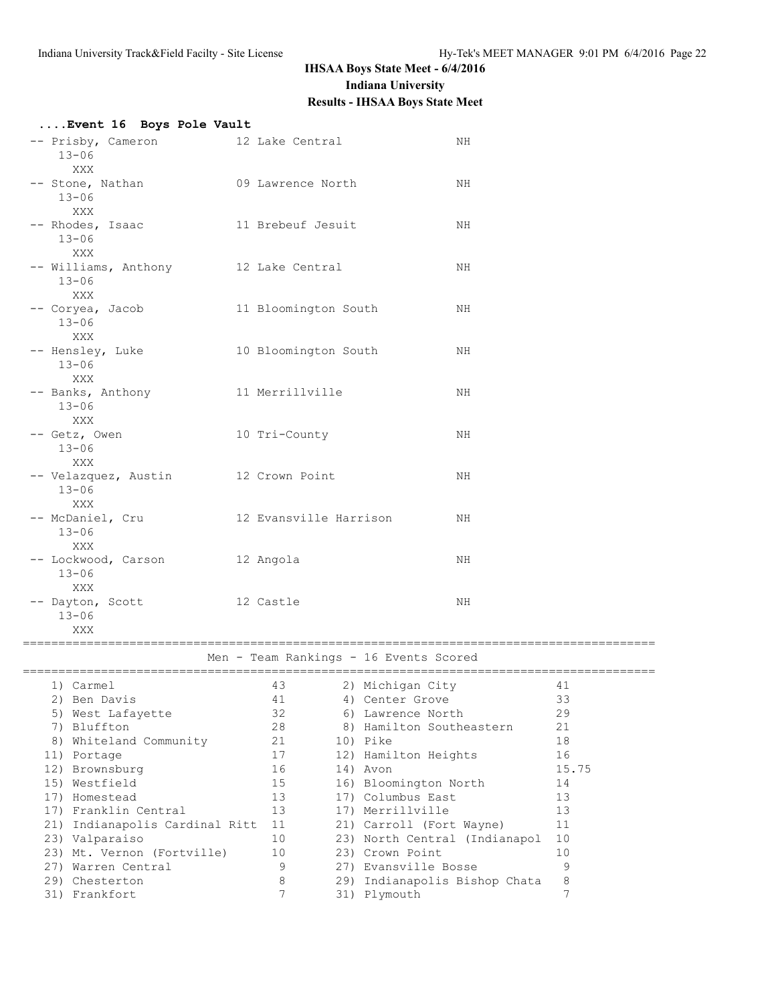| Event 16 Boys Pole Vault                                 |                        |                                        |    |       |
|----------------------------------------------------------|------------------------|----------------------------------------|----|-------|
| -- Prisby, Cameron<br>$13 - 06$<br>XXX                   | 12 Lake Central        |                                        | ΝH |       |
| -- Stone, Nathan<br>$13 - 06$<br>XXX                     | 09 Lawrence North      |                                        | NH |       |
| -- Rhodes, Isaac<br>$13 - 06$<br>XXX                     | 11 Brebeuf Jesuit      |                                        | ΝH |       |
| -- Williams, Anthony 12 Lake Central<br>$13 - 06$<br>XXX |                        |                                        | ΝH |       |
| -- Coryea, Jacob<br>$13 - 06$<br>XXX                     | 11 Bloomington South   |                                        | ΝH |       |
| -- Hensley, Luke<br>$13 - 06$<br>XXX                     | 10 Bloomington South   |                                        | NH |       |
| -- Banks, Anthony<br>$13 - 06$<br>XXX                    | 11 Merrillville        |                                        | ΝH |       |
| -- Getz, Owen<br>$13 - 06$<br>XXX                        | 10 Tri-County          |                                        | ΝH |       |
| -- Velazquez, Austin<br>$13 - 06$<br>XXX                 | 12 Crown Point         |                                        | ΝH |       |
| -- McDaniel, Cru<br>$13 - 06$<br>XXX                     | 12 Evansville Harrison |                                        | ΝH |       |
| -- Lockwood, Carson<br>$13 - 06$<br>XXX                  | 12 Angola              |                                        | ΝH |       |
| -- Dayton, Scott<br>$13 - 06$<br>XXX                     | 12 Castle              |                                        | ΝH |       |
|                                                          |                        |                                        |    |       |
|                                                          |                        | Men - Team Rankings - 16 Events Scored |    |       |
| 1) Carmel                                                |                        | 43 (2) Michigan City                   |    | 41    |
| 2) Ben Davis                                             | 41                     | 4) Center Grove                        |    | 33    |
| 5) West Lafayette                                        | 32                     | 6) Lawrence North                      |    | 29    |
| 7) Bluffton                                              | 28                     | 8) Hamilton Southeastern               |    | 21    |
| 8) Whiteland Community                                   | 21                     | 10) Pike                               |    | 18    |
| 11) Portage                                              | 17                     | 12) Hamilton Heights                   |    | 16    |
| 12) Brownsburg                                           | 16                     | 14) Avon                               |    | 15.75 |
| 15) Westfield                                            | 15                     | 16) Bloomington North                  |    | 14    |
| 17) Homestead                                            | 13                     | 17) Columbus East                      |    | 13    |
| 17) Franklin Central                                     | 13                     | 17) Merrillville                       |    | 13    |
| 21) Indianapolis Cardinal Ritt                           | 11                     | 21) Carroll (Fort Wayne)               |    | 11    |
| 23) Valparaiso                                           | 10                     | 23) North Central (Indianapol          |    | 10    |
| 23) Mt. Vernon (Fortville)                               | 10                     | 23) Crown Point                        |    | 10    |
| 27) Warren Central                                       | 9                      | 27) Evansville Bosse                   |    | 9     |
| 29) Chesterton                                           | 8                      | 29) Indianapolis Bishop Chata          |    | 8     |
| 31) Frankfort                                            | 7                      | 31) Plymouth                           |    | 7     |